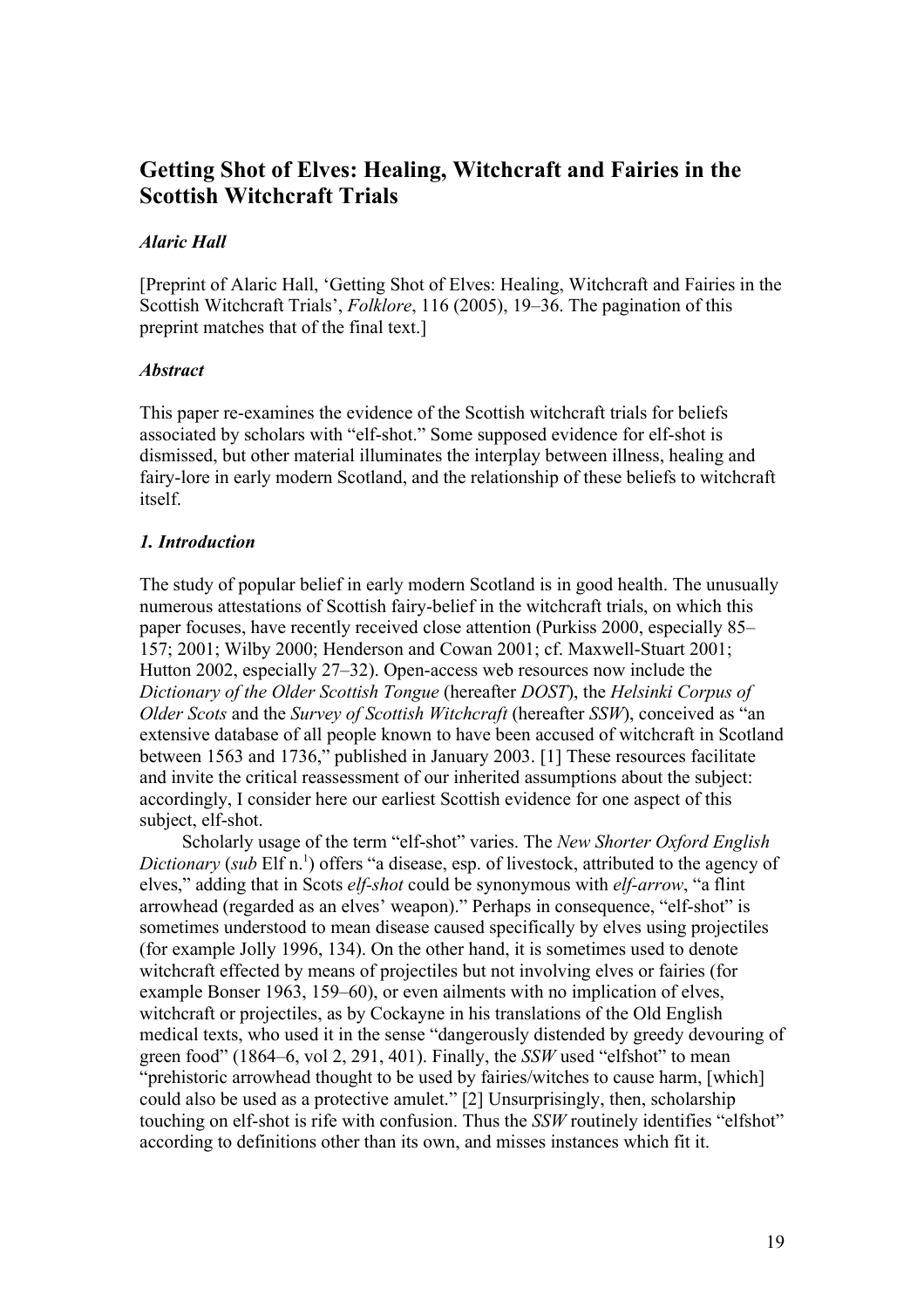# **Getting Shot of Elves: Healing, Witchcraft and Fairies in the Scottish Witchcraft Trials**

# *Alaric Hall*

[Preprint of Alaric Hall, 'Getting Shot of Elves: Healing, Witchcraft and Fairies in the Scottish Witchcraft Trials', *Folklore*, 116 (2005), 19–36. The pagination of this preprint matches that of the final text.]

### *Abstract*

This paper re-examines the evidence of the Scottish witchcraft trials for beliefs associated by scholars with "elf-shot." Some supposed evidence for elf-shot is dismissed, but other material illuminates the interplay between illness, healing and fairy-lore in early modern Scotland, and the relationship of these beliefs to witchcraft itself.

# *1. Introduction*

The study of popular belief in early modern Scotland is in good health. The unusually numerous attestations of Scottish fairy-belief in the witchcraft trials, on which this paper focuses, have recently received close attention (Purkiss 2000, especially 85– 157; 2001; Wilby 2000; Henderson and Cowan 2001; cf. Maxwell-Stuart 2001; Hutton 2002, especially 27–32). Open-access web resources now include the *Dictionary of the Older Scottish Tongue* (hereafter *DOST*), the *Helsinki Corpus of Older Scots* and the *Survey of Scottish Witchcraft* (hereafter *SSW*), conceived as "an extensive database of all people known to have been accused of witchcraft in Scotland between 1563 and 1736," published in January 2003. [1] These resources facilitate and invite the critical reassessment of our inherited assumptions about the subject: accordingly, I consider here our earliest Scottish evidence for one aspect of this subject, elf-shot.

Scholarly usage of the term "elf-shot" varies. The *New Shorter Oxford English* Dictionary (sub Elf n.<sup>1</sup>) offers "a disease, esp. of livestock, attributed to the agency of elves," adding that in Scots *elf-shot* could be synonymous with *elf-arrow*, "a flint arrowhead (regarded as an elves' weapon)." Perhaps in consequence, "elf-shot" is sometimes understood to mean disease caused specifically by elves using projectiles (for example Jolly 1996, 134). On the other hand, it is sometimes used to denote witchcraft effected by means of projectiles but not involving elves or fairies (for example Bonser 1963, 159–60), or even ailments with no implication of elves, witchcraft or projectiles, as by Cockayne in his translations of the Old English medical texts, who used it in the sense "dangerously distended by greedy devouring of green food" (1864–6, vol 2, 291, 401). Finally, the *SSW* used "elfshot" to mean "prehistoric arrowhead thought to be used by fairies/witches to cause harm, [which] could also be used as a protective amulet." [2] Unsurprisingly, then, scholarship touching on elf-shot is rife with confusion. Thus the *SSW* routinely identifies "elfshot" according to definitions other than its own, and misses instances which fit it.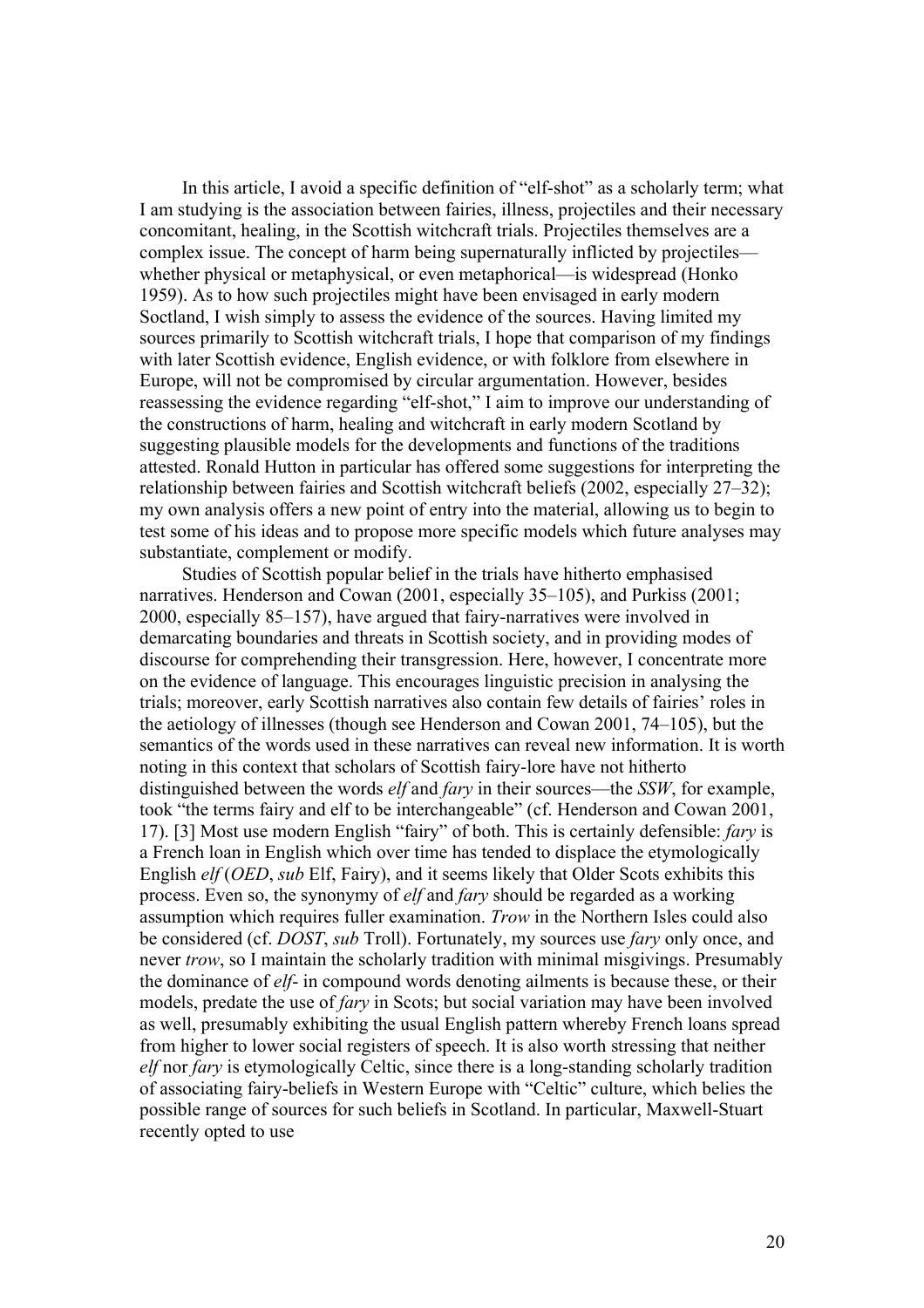In this article, I avoid a specific definition of "elf-shot" as a scholarly term; what I am studying is the association between fairies, illness, projectiles and their necessary concomitant, healing, in the Scottish witchcraft trials. Projectiles themselves are a complex issue. The concept of harm being supernaturally inflicted by projectiles whether physical or metaphysical, or even metaphorical—is widespread (Honko 1959). As to how such projectiles might have been envisaged in early modern Soctland, I wish simply to assess the evidence of the sources. Having limited my sources primarily to Scottish witchcraft trials, I hope that comparison of my findings with later Scottish evidence, English evidence, or with folklore from elsewhere in Europe, will not be compromised by circular argumentation. However, besides reassessing the evidence regarding "elf-shot," I aim to improve our understanding of the constructions of harm, healing and witchcraft in early modern Scotland by suggesting plausible models for the developments and functions of the traditions attested. Ronald Hutton in particular has offered some suggestions for interpreting the relationship between fairies and Scottish witchcraft beliefs (2002, especially 27–32); my own analysis offers a new point of entry into the material, allowing us to begin to test some of his ideas and to propose more specific models which future analyses may substantiate, complement or modify.

Studies of Scottish popular belief in the trials have hitherto emphasised narratives. Henderson and Cowan (2001, especially 35–105), and Purkiss (2001; 2000, especially 85–157), have argued that fairy-narratives were involved in demarcating boundaries and threats in Scottish society, and in providing modes of discourse for comprehending their transgression. Here, however, I concentrate more on the evidence of language. This encourages linguistic precision in analysing the trials; moreover, early Scottish narratives also contain few details of fairies' roles in the aetiology of illnesses (though see Henderson and Cowan 2001, 74–105), but the semantics of the words used in these narratives can reveal new information. It is worth noting in this context that scholars of Scottish fairy-lore have not hitherto distinguished between the words *elf* and *fary* in their sources—the *SSW*, for example, took "the terms fairy and elf to be interchangeable" (cf. Henderson and Cowan 2001, 17). [3] Most use modern English "fairy" of both. This is certainly defensible: *fary* is a French loan in English which over time has tended to displace the etymologically English *elf* (*OED*, *sub* Elf, Fairy), and it seems likely that Older Scots exhibits this process. Even so, the synonymy of *elf* and *fary* should be regarded as a working assumption which requires fuller examination. *Trow* in the Northern Isles could also be considered (cf. *DOST*, *sub* Troll). Fortunately, my sources use *fary* only once, and never *trow*, so I maintain the scholarly tradition with minimal misgivings. Presumably the dominance of *elf*- in compound words denoting ailments is because these, or their models, predate the use of *fary* in Scots; but social variation may have been involved as well, presumably exhibiting the usual English pattern whereby French loans spread from higher to lower social registers of speech. It is also worth stressing that neither *elf* nor *fary* is etymologically Celtic, since there is a long-standing scholarly tradition of associating fairy-beliefs in Western Europe with "Celtic" culture, which belies the possible range of sources for such beliefs in Scotland. In particular, Maxwell-Stuart recently opted to use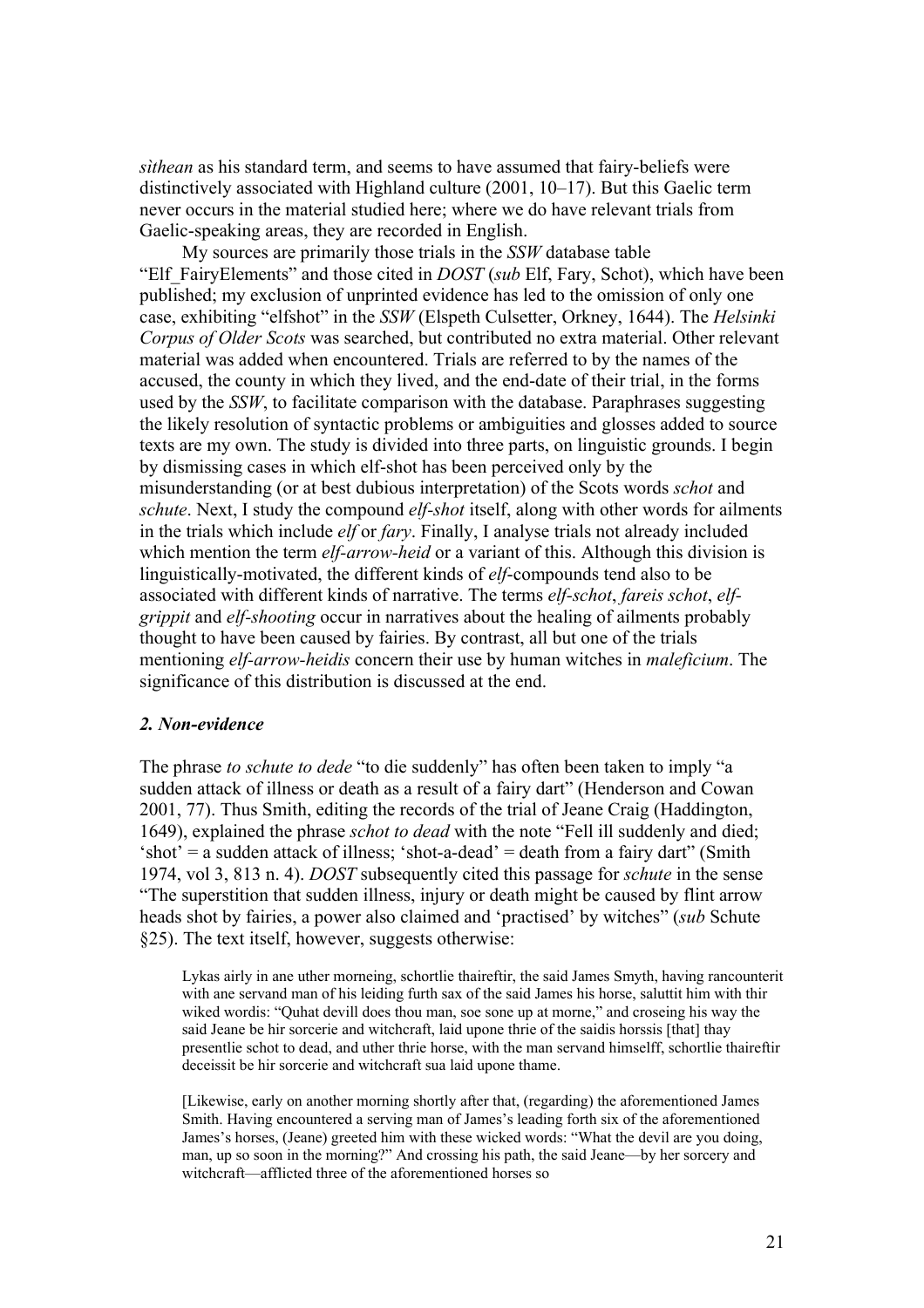*sìthean* as his standard term, and seems to have assumed that fairy-beliefs were distinctively associated with Highland culture (2001, 10–17). But this Gaelic term never occurs in the material studied here; where we do have relevant trials from Gaelic-speaking areas, they are recorded in English.

My sources are primarily those trials in the *SSW* database table "Elf\_FairyElements" and those cited in *DOST* (*sub* Elf, Fary, Schot), which have been published; my exclusion of unprinted evidence has led to the omission of only one case, exhibiting "elfshot" in the *SSW* (Elspeth Culsetter, Orkney, 1644). The *Helsinki Corpus of Older Scots* was searched, but contributed no extra material. Other relevant material was added when encountered. Trials are referred to by the names of the accused, the county in which they lived, and the end-date of their trial, in the forms used by the *SSW*, to facilitate comparison with the database. Paraphrases suggesting the likely resolution of syntactic problems or ambiguities and glosses added to source texts are my own. The study is divided into three parts, on linguistic grounds. I begin by dismissing cases in which elf-shot has been perceived only by the misunderstanding (or at best dubious interpretation) of the Scots words *schot* and *schute*. Next, I study the compound *elf-shot* itself, along with other words for ailments in the trials which include *elf* or *fary*. Finally, I analyse trials not already included which mention the term *elf-arrow-heid* or a variant of this. Although this division is linguistically-motivated, the different kinds of *elf*-compounds tend also to be associated with different kinds of narrative. The terms *elf-schot*, *fareis schot*, *elfgrippit* and *elf-shooting* occur in narratives about the healing of ailments probably thought to have been caused by fairies. By contrast, all but one of the trials mentioning *elf-arrow-heidis* concern their use by human witches in *maleficium*. The significance of this distribution is discussed at the end.

# *2. Non-evidence*

The phrase *to schute to dede* "to die suddenly" has often been taken to imply "a sudden attack of illness or death as a result of a fairy dart" (Henderson and Cowan 2001, 77). Thus Smith, editing the records of the trial of Jeane Craig (Haddington, 1649), explained the phrase *schot to dead* with the note "Fell ill suddenly and died;  $\text{`shot'} = a \text{ sudden attack of illness}; \text{`shot-a-dead'} = \text{death from a fairly dart''}$  (Smith 1974, vol 3, 813 n. 4). *DOST* subsequently cited this passage for *schute* in the sense "The superstition that sudden illness, injury or death might be caused by flint arrow heads shot by fairies, a power also claimed and 'practised' by witches" (*sub* Schute §25). The text itself, however, suggests otherwise:

Lykas airly in ane uther morneing, schortlie thaireftir, the said James Smyth, having rancounterit with ane servand man of his leiding furth sax of the said James his horse, saluttit him with thir wiked wordis: "Quhat devill does thou man, soe sone up at morne," and croseing his way the said Jeane be hir sorcerie and witchcraft, laid upone thrie of the saidis horssis [that] thay presentlie schot to dead, and uther thrie horse, with the man servand himselff, schortlie thaireftir deceissit be hir sorcerie and witchcraft sua laid upone thame.

[Likewise, early on another morning shortly after that, (regarding) the aforementioned James Smith. Having encountered a serving man of James's leading forth six of the aforementioned James's horses, (Jeane) greeted him with these wicked words: "What the devil are you doing, man, up so soon in the morning?" And crossing his path, the said Jeane—by her sorcery and witchcraft—afflicted three of the aforementioned horses so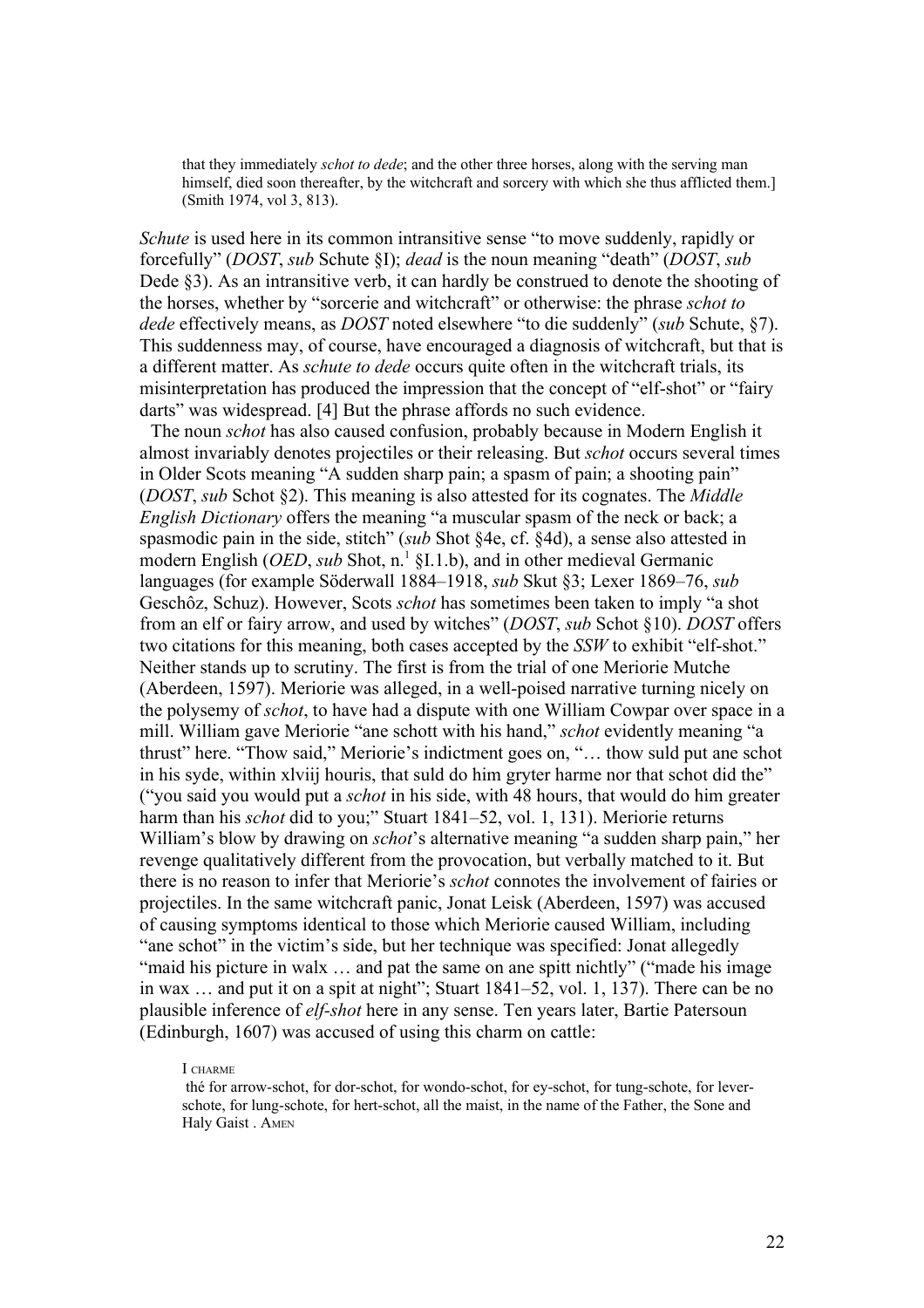that they immediately *schot to dede*; and the other three horses, along with the serving man himself, died soon thereafter, by the witchcraft and sorcery with which she thus afflicted them.] (Smith 1974, vol 3, 813).

*Schute* is used here in its common intransitive sense "to move suddenly, rapidly or forcefully" (*DOST*, *sub* Schute §I); *dead* is the noun meaning "death" (*DOST*, *sub* Dede §3). As an intransitive verb, it can hardly be construed to denote the shooting of the horses, whether by "sorcerie and witchcraft" or otherwise: the phrase *schot to dede* effectively means, as *DOST* noted elsewhere "to die suddenly" (*sub* Schute, §7). This suddenness may, of course, have encouraged a diagnosis of witchcraft, but that is a different matter. As *schute to dede* occurs quite often in the witchcraft trials, its misinterpretation has produced the impression that the concept of "elf-shot" or "fairy darts" was widespread. [4] But the phrase affords no such evidence.

The noun *schot* has also caused confusion, probably because in Modern English it almost invariably denotes projectiles or their releasing. But *schot* occurs several times in Older Scots meaning "A sudden sharp pain; a spasm of pain; a shooting pain" (*DOST*, *sub* Schot §2). This meaning is also attested for its cognates. The *Middle English Dictionary* offers the meaning "a muscular spasm of the neck or back; a spasmodic pain in the side, stitch" (*sub* Shot §4e, cf. §4d), a sense also attested in modern English (*OED*, *sub* Shot, n.<sup>1</sup> §I.1.b), and in other medieval Germanic languages (for example Söderwall 1884–1918, *sub* Skut §3; Lexer 1869–76, *sub* Geschôz, Schuz). However, Scots *schot* has sometimes been taken to imply "a shot from an elf or fairy arrow, and used by witches" (*DOST*, *sub* Schot §10). *DOST* offers two citations for this meaning, both cases accepted by the *SSW* to exhibit "elf-shot." Neither stands up to scrutiny. The first is from the trial of one Meriorie Mutche (Aberdeen, 1597). Meriorie was alleged, in a well-poised narrative turning nicely on the polysemy of *schot*, to have had a dispute with one William Cowpar over space in a mill. William gave Meriorie "ane schott with his hand," *schot* evidently meaning "a thrust" here. "Thow said," Meriorie's indictment goes on, "… thow suld put ane schot in his syde, within xlviij houris, that suld do him gryter harme nor that schot did the" ("you said you would put a *schot* in his side, with 48 hours, that would do him greater harm than his *schot* did to you;" Stuart 1841–52, vol. 1, 131). Meriorie returns William's blow by drawing on *schot*'s alternative meaning "a sudden sharp pain," her revenge qualitatively different from the provocation, but verbally matched to it. But there is no reason to infer that Meriorie's *schot* connotes the involvement of fairies or projectiles. In the same witchcraft panic, Jonat Leisk (Aberdeen, 1597) was accused of causing symptoms identical to those which Meriorie caused William, including "ane schot" in the victim's side, but her technique was specified: Jonat allegedly "maid his picture in walx … and pat the same on ane spitt nichtly" ("made his image in wax … and put it on a spit at night"; Stuart 1841–52, vol. 1, 137). There can be no plausible inference of *elf-shot* here in any sense. Ten years later, Bartie Patersoun (Edinburgh, 1607) was accused of using this charm on cattle:

#### I CHARME

 thé for arrow-schot, for dor-schot, for wondo-schot, for ey-schot, for tung-schote, for leverschote, for lung-schote, for hert-schot, all the maist, in the name of the Father, the Sone and Haly Gaist . AMEN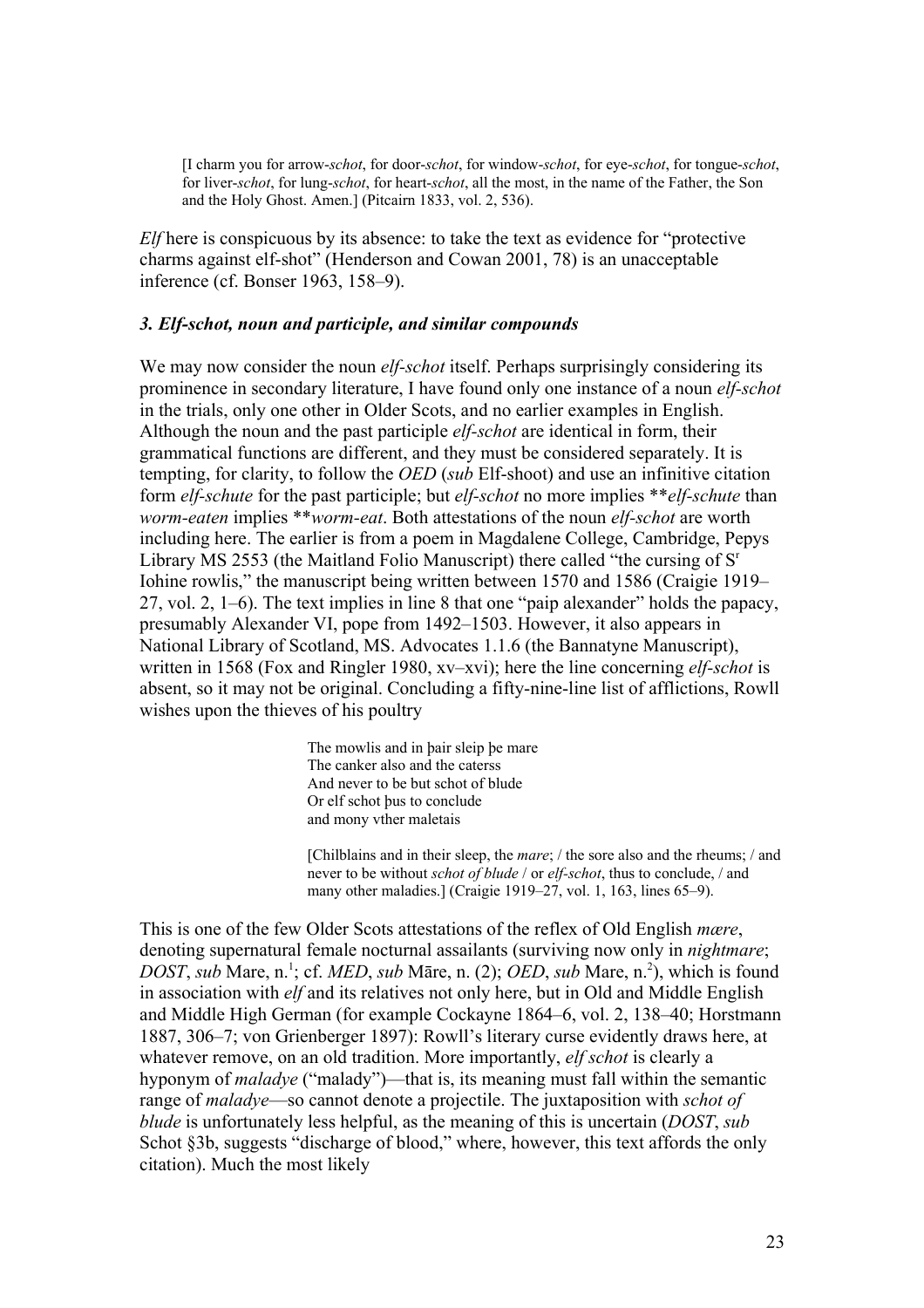[I charm you for arrow-*schot*, for door-*schot*, for window-*schot*, for eye-*schot*, for tongue-*schot*, for liver-*schot*, for lung-*schot*, for heart-*schot*, all the most, in the name of the Father, the Son and the Holy Ghost. Amen.] (Pitcairn 1833, vol. 2, 536).

*Elf* here is conspicuous by its absence: to take the text as evidence for "protective charms against elf-shot" (Henderson and Cowan 2001, 78) is an unacceptable inference (cf. Bonser 1963, 158–9).

### *3. Elf-schot, noun and participle, and similar compounds*

We may now consider the noun *elf-schot* itself. Perhaps surprisingly considering its prominence in secondary literature, I have found only one instance of a noun *elf-schot* in the trials, only one other in Older Scots, and no earlier examples in English. Although the noun and the past participle *elf-schot* are identical in form, their grammatical functions are different, and they must be considered separately. It is tempting, for clarity, to follow the *OED* (*sub* Elf-shoot) and use an infinitive citation form *elf-schute* for the past participle; but *elf-schot* no more implies \*\**elf-schute* than *worm-eaten* implies \*\**worm-eat*. Both attestations of the noun *elf-schot* are worth including here. The earlier is from a poem in Magdalene College, Cambridge, Pepys Library MS 2553 (the Maitland Folio Manuscript) there called "the cursing of S<sup>r</sup> Iohine rowlis," the manuscript being written between 1570 and 1586 (Craigie 1919– 27, vol. 2, 1–6). The text implies in line 8 that one "paip alexander" holds the papacy, presumably Alexander VI, pope from 1492–1503. However, it also appears in National Library of Scotland, MS. Advocates 1.1.6 (the Bannatyne Manuscript), written in 1568 (Fox and Ringler 1980, xv–xvi); here the line concerning *elf-schot* is absent, so it may not be original. Concluding a fifty-nine-line list of afflictions, Rowll wishes upon the thieves of his poultry

> The mowlis and in þair sleip þe mare The canker also and the caterss And never to be but schot of blude Or elf schot þus to conclude and mony vther maletais

[Chilblains and in their sleep, the *mare*; / the sore also and the rheums; / and never to be without *schot of blude* / or *elf-schot*, thus to conclude, / and many other maladies.] (Craigie 1919–27, vol. 1, 163, lines 65–9).

This is one of the few Older Scots attestations of the reflex of Old English *mære*, denoting supernatural female nocturnal assailants (surviving now only in *nightmare*; *DOST*, *sub* Mare, n.<sup>1</sup>; cf. *MED*, *sub* Māre, n. (2); *OED*, *sub* Mare, n.<sup>2</sup>), which is found in association with *elf* and its relatives not only here, but in Old and Middle English and Middle High German (for example Cockayne 1864–6, vol. 2, 138–40; Horstmann 1887, 306–7; von Grienberger 1897): Rowll's literary curse evidently draws here, at whatever remove, on an old tradition. More importantly, *elf schot* is clearly a hyponym of *maladye* ("malady")—that is, its meaning must fall within the semantic range of *maladye*—so cannot denote a projectile. The juxtaposition with *schot of blude* is unfortunately less helpful, as the meaning of this is uncertain (*DOST*, *sub* Schot §3b, suggests "discharge of blood," where, however, this text affords the only citation). Much the most likely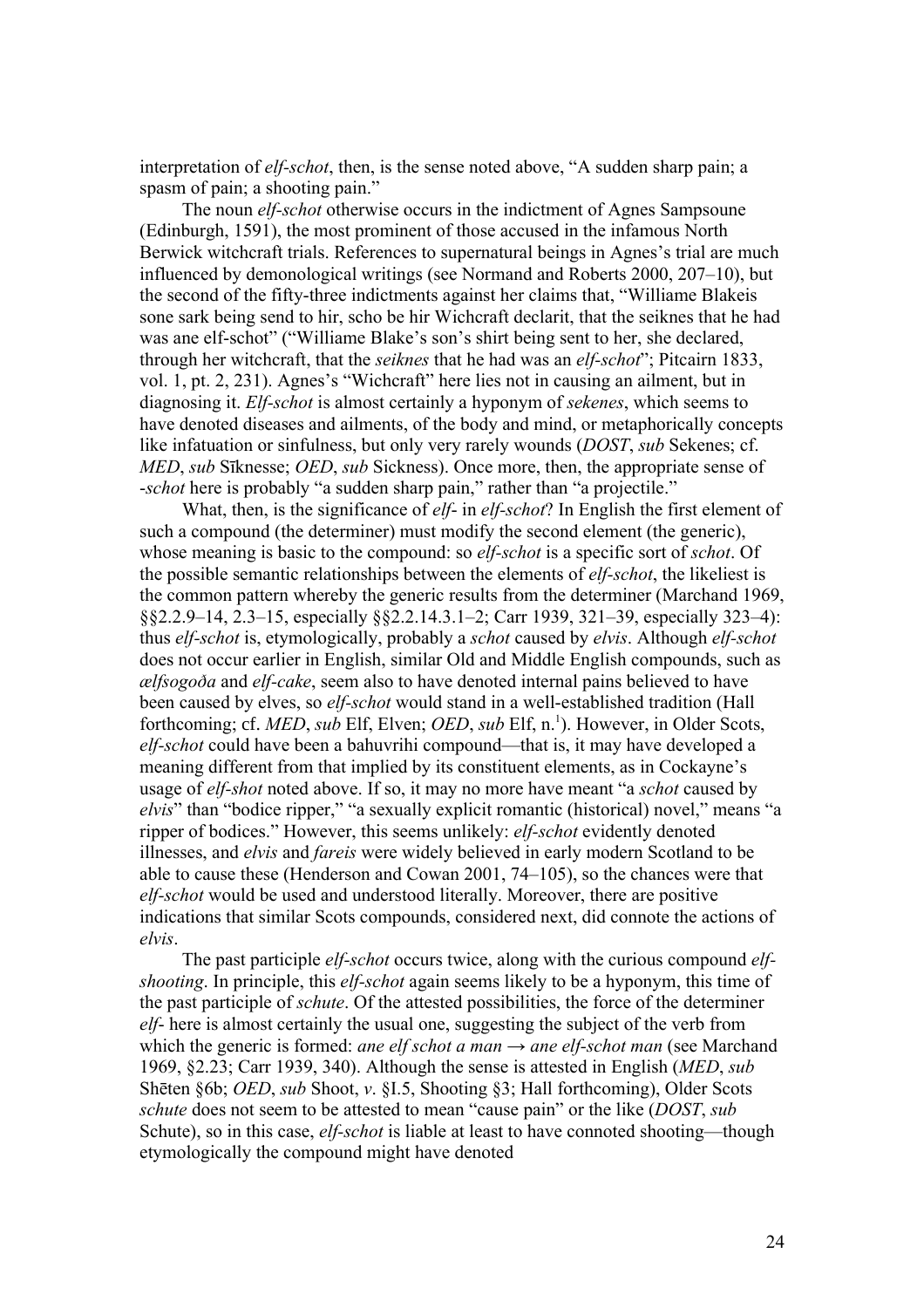interpretation of *elf-schot*, then, is the sense noted above, "A sudden sharp pain; a spasm of pain; a shooting pain."

The noun *elf-schot* otherwise occurs in the indictment of Agnes Sampsoune (Edinburgh, 1591), the most prominent of those accused in the infamous North Berwick witchcraft trials. References to supernatural beings in Agnes's trial are much influenced by demonological writings (see Normand and Roberts 2000, 207–10), but the second of the fifty-three indictments against her claims that, "Williame Blakeis sone sark being send to hir, scho be hir Wichcraft declarit, that the seiknes that he had was ane elf-schot" ("Williame Blake's son's shirt being sent to her, she declared, through her witchcraft, that the *seiknes* that he had was an *elf-schot*"; Pitcairn 1833, vol. 1, pt. 2, 231). Agnes's "Wichcraft" here lies not in causing an ailment, but in diagnosing it. *Elf-schot* is almost certainly a hyponym of *sekenes*, which seems to have denoted diseases and ailments, of the body and mind, or metaphorically concepts like infatuation or sinfulness, but only very rarely wounds (*DOST*, *sub* Sekenes; cf. *MED*, *sub* Sīknesse; *OED*, *sub* Sickness). Once more, then, the appropriate sense of -*schot* here is probably "a sudden sharp pain," rather than "a projectile."

What, then, is the significance of *elf*- in *elf-schot*? In English the first element of such a compound (the determiner) must modify the second element (the generic), whose meaning is basic to the compound: so *elf-schot* is a specific sort of *schot*. Of the possible semantic relationships between the elements of *elf-schot*, the likeliest is the common pattern whereby the generic results from the determiner (Marchand 1969, §§2.2.9–14, 2.3–15, especially §§2.2.14.3.1–2; Carr 1939, 321–39, especially 323–4): thus *elf-schot* is, etymologically, probably a *schot* caused by *elvis*. Although *elf-schot* does not occur earlier in English, similar Old and Middle English compounds, such as *ælfsogoða* and *elf-cake*, seem also to have denoted internal pains believed to have been caused by elves, so *elf-schot* would stand in a well-established tradition (Hall forthcoming; cf. MED, sub Elf, Elven; OED, sub Elf, n.<sup>1</sup>). However, in Older Scots, *elf-schot* could have been a bahuvrihi compound—that is, it may have developed a meaning different from that implied by its constituent elements, as in Cockayne's usage of *elf-shot* noted above. If so, it may no more have meant "a *schot* caused by *elvis*" than "bodice ripper," "a sexually explicit romantic (historical) novel," means "a ripper of bodices." However, this seems unlikely: *elf-schot* evidently denoted illnesses, and *elvis* and *fareis* were widely believed in early modern Scotland to be able to cause these (Henderson and Cowan 2001, 74–105), so the chances were that *elf-schot* would be used and understood literally. Moreover, there are positive indications that similar Scots compounds, considered next, did connote the actions of *elvis*.

The past participle *elf-schot* occurs twice, along with the curious compound *elfshooting*. In principle, this *elf-schot* again seems likely to be a hyponym, this time of the past participle of *schute*. Of the attested possibilities, the force of the determiner *elf*- here is almost certainly the usual one, suggesting the subject of the verb from which the generic is formed: *ane elf schot a man*  $\rightarrow$  *ane elf-schot man* (see Marchand 1969, §2.23; Carr 1939, 340). Although the sense is attested in English (*MED*, *sub* Shēten §6b; *OED*, *sub* Shoot, *v*. §I.5, Shooting §3; Hall forthcoming), Older Scots *schute* does not seem to be attested to mean "cause pain" or the like (*DOST*, *sub* Schute), so in this case, *elf-schot* is liable at least to have connoted shooting—though etymologically the compound might have denoted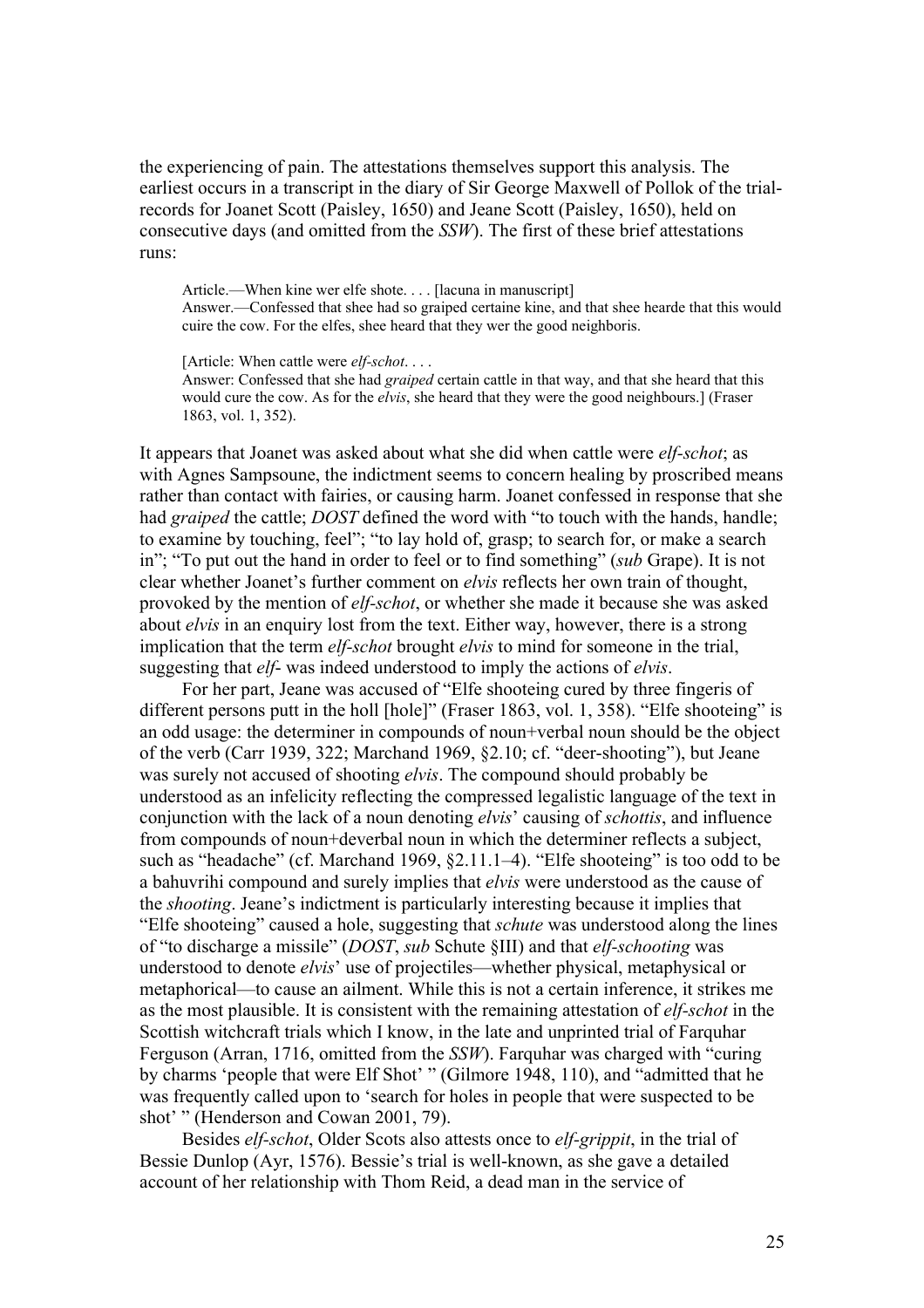the experiencing of pain. The attestations themselves support this analysis. The earliest occurs in a transcript in the diary of Sir George Maxwell of Pollok of the trialrecords for Joanet Scott (Paisley, 1650) and Jeane Scott (Paisley, 1650), held on consecutive days (and omitted from the *SSW*). The first of these brief attestations runs:

Article.—When kine wer elfe shote. . . . [lacuna in manuscript] Answer.—Confessed that shee had so graiped certaine kine, and that shee hearde that this would cuire the cow. For the elfes, shee heard that they wer the good neighboris.

[Article: When cattle were *elf-schot*. . . . Answer: Confessed that she had *graiped* certain cattle in that way, and that she heard that this would cure the cow. As for the *elvis*, she heard that they were the good neighbours.] (Fraser 1863, vol. 1, 352).

It appears that Joanet was asked about what she did when cattle were *elf-schot*; as with Agnes Sampsoune, the indictment seems to concern healing by proscribed means rather than contact with fairies, or causing harm. Joanet confessed in response that she had *graiped* the cattle; *DOST* defined the word with "to touch with the hands, handle; to examine by touching, feel"; "to lay hold of, grasp; to search for, or make a search in"; "To put out the hand in order to feel or to find something" (*sub* Grape). It is not clear whether Joanet's further comment on *elvis* reflects her own train of thought, provoked by the mention of *elf-schot*, or whether she made it because she was asked about *elvis* in an enquiry lost from the text. Either way, however, there is a strong implication that the term *elf-schot* brought *elvis* to mind for someone in the trial, suggesting that *elf*- was indeed understood to imply the actions of *elvis*.

For her part, Jeane was accused of "Elfe shooteing cured by three fingeris of different persons putt in the holl [hole]" (Fraser 1863, vol. 1, 358). "Elfe shooteing" is an odd usage: the determiner in compounds of noun+verbal noun should be the object of the verb (Carr 1939, 322; Marchand 1969, §2.10; cf. "deer-shooting"), but Jeane was surely not accused of shooting *elvis*. The compound should probably be understood as an infelicity reflecting the compressed legalistic language of the text in conjunction with the lack of a noun denoting *elvis*' causing of *schottis*, and influence from compounds of noun+deverbal noun in which the determiner reflects a subject, such as "headache" (cf. Marchand 1969, §2.11.1–4). "Elfe shooteing" is too odd to be a bahuvrihi compound and surely implies that *elvis* were understood as the cause of the *shooting*. Jeane's indictment is particularly interesting because it implies that "Elfe shooteing" caused a hole, suggesting that *schute* was understood along the lines of "to discharge a missile" (*DOST*, *sub* Schute §III) and that *elf-schooting* was understood to denote *elvis*' use of projectiles—whether physical, metaphysical or metaphorical—to cause an ailment. While this is not a certain inference, it strikes me as the most plausible. It is consistent with the remaining attestation of *elf-schot* in the Scottish witchcraft trials which I know, in the late and unprinted trial of Farquhar Ferguson (Arran, 1716, omitted from the *SSW*). Farquhar was charged with "curing by charms 'people that were Elf Shot' " (Gilmore 1948, 110), and "admitted that he was frequently called upon to 'search for holes in people that were suspected to be shot' " (Henderson and Cowan 2001, 79).

Besides *elf-schot*, Older Scots also attests once to *elf-grippit*, in the trial of Bessie Dunlop (Ayr, 1576). Bessie's trial is well-known, as she gave a detailed account of her relationship with Thom Reid, a dead man in the service of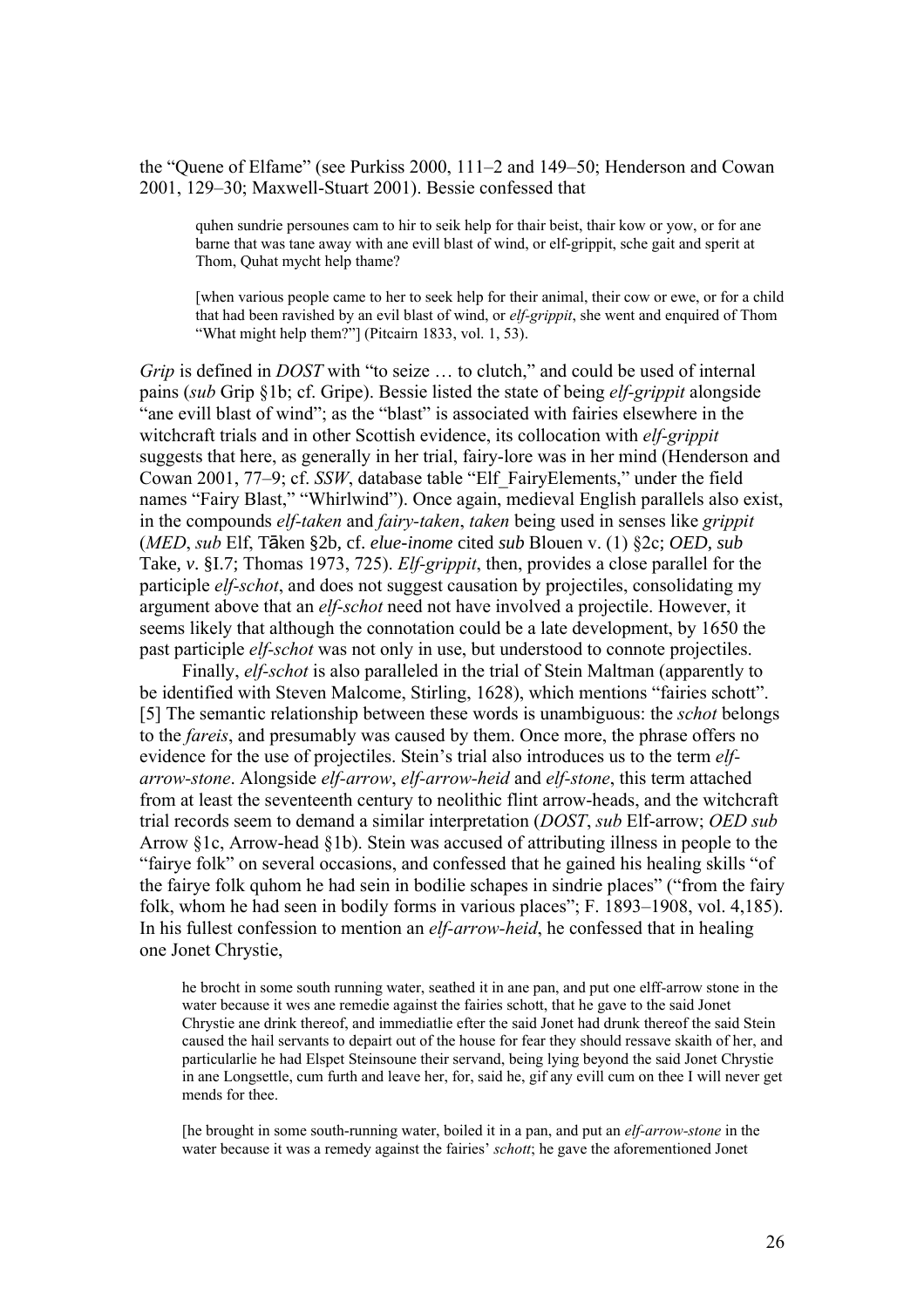the "Quene of Elfame" (see Purkiss 2000, 111–2 and 149–50; Henderson and Cowan 2001, 129–30; Maxwell-Stuart 2001). Bessie confessed that

quhen sundrie persounes cam to hir to seik help for thair beist, thair kow or yow, or for ane barne that was tane away with ane evill blast of wind, or elf-grippit, sche gait and sperit at Thom, Quhat mycht help thame?

[when various people came to her to seek help for their animal, their cow or ewe, or for a child that had been ravished by an evil blast of wind, or *elf-grippit*, she went and enquired of Thom "What might help them?"] (Pitcairn 1833, vol. 1, 53).

*Grip* is defined in *DOST* with "to seize … to clutch," and could be used of internal pains (*sub* Grip §1b; cf. Gripe). Bessie listed the state of being *elf-grippit* alongside "ane evill blast of wind"; as the "blast" is associated with fairies elsewhere in the witchcraft trials and in other Scottish evidence, its collocation with *elf-grippit* suggests that here, as generally in her trial, fairy-lore was in her mind (Henderson and Cowan 2001, 77–9; cf. *SSW*, database table "Elf\_FairyElements," under the field names "Fairy Blast," "Whirlwind"). Once again, medieval English parallels also exist, in the compounds *elf-taken* and *fairy-taken*, *taken* being used in senses like *grippit* (*MED*, *sub* Elf, Tāken §2b, cf. *elue-inome* cited *sub* Blouen v. (1) §2c; *OED*, *sub* Take, *v*. §I.7; Thomas 1973, 725). *Elf-grippit*, then, provides a close parallel for the participle *elf-schot*, and does not suggest causation by projectiles, consolidating my argument above that an *elf-schot* need not have involved a projectile. However, it seems likely that although the connotation could be a late development, by 1650 the past participle *elf-schot* was not only in use, but understood to connote projectiles.

Finally, *elf-schot* is also paralleled in the trial of Stein Maltman (apparently to be identified with Steven Malcome, Stirling, 1628), which mentions "fairies schott". [5] The semantic relationship between these words is unambiguous: the *schot* belongs to the *fareis*, and presumably was caused by them. Once more, the phrase offers no evidence for the use of projectiles. Stein's trial also introduces us to the term *elfarrow-stone*. Alongside *elf-arrow*, *elf-arrow-heid* and *elf-stone*, this term attached from at least the seventeenth century to neolithic flint arrow-heads, and the witchcraft trial records seem to demand a similar interpretation (*DOST*, *sub* Elf-arrow; *OED sub* Arrow §1c, Arrow-head §1b). Stein was accused of attributing illness in people to the "fairye folk" on several occasions, and confessed that he gained his healing skills "of the fairye folk quhom he had sein in bodilie schapes in sindrie places" ("from the fairy folk, whom he had seen in bodily forms in various places"; F. 1893–1908, vol. 4,185). In his fullest confession to mention an *elf-arrow-heid*, he confessed that in healing one Jonet Chrystie,

he brocht in some south running water, seathed it in ane pan, and put one elff-arrow stone in the water because it wes ane remedie against the fairies schott, that he gave to the said Jonet Chrystie ane drink thereof, and immediatlie efter the said Jonet had drunk thereof the said Stein caused the hail servants to depairt out of the house for fear they should ressave skaith of her, and particularlie he had Elspet Steinsoune their servand, being lying beyond the said Jonet Chrystie in ane Longsettle, cum furth and leave her, for, said he, gif any evill cum on thee I will never get mends for thee.

[he brought in some south-running water, boiled it in a pan, and put an *elf-arrow-stone* in the water because it was a remedy against the fairies' *schott*; he gave the aforementioned Jonet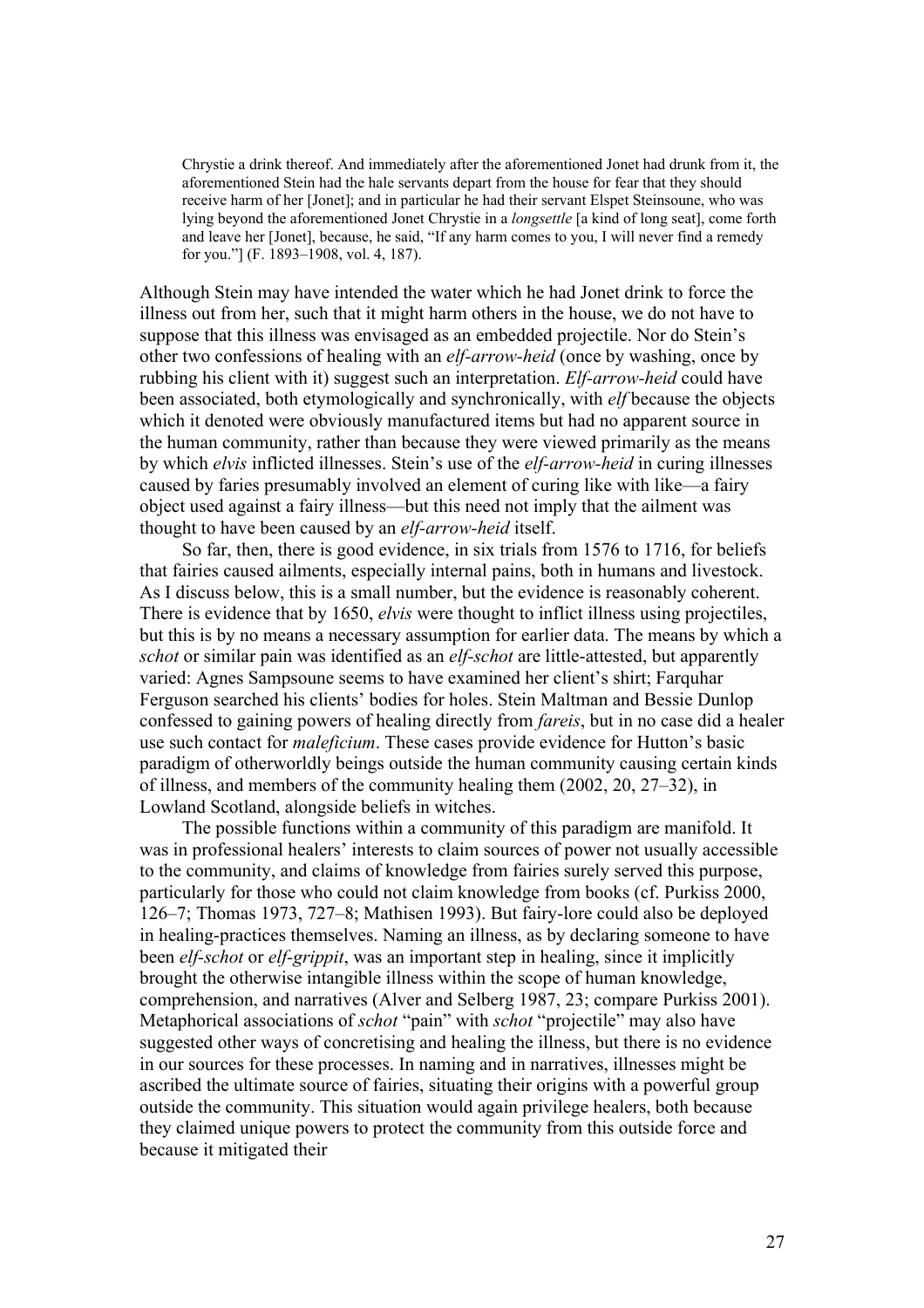Chrystie a drink thereof. And immediately after the aforementioned Jonet had drunk from it, the aforementioned Stein had the hale servants depart from the house for fear that they should receive harm of her [Jonet]; and in particular he had their servant Elspet Steinsoune, who was lying beyond the aforementioned Jonet Chrystie in a *longsettle* [a kind of long seat], come forth and leave her [Jonet], because, he said, "If any harm comes to you, I will never find a remedy for you."] (F. 1893–1908, vol. 4, 187).

Although Stein may have intended the water which he had Jonet drink to force the illness out from her, such that it might harm others in the house, we do not have to suppose that this illness was envisaged as an embedded projectile. Nor do Stein's other two confessions of healing with an *elf-arrow-heid* (once by washing, once by rubbing his client with it) suggest such an interpretation. *Elf-arrow-heid* could have been associated, both etymologically and synchronically, with *elf* because the objects which it denoted were obviously manufactured items but had no apparent source in the human community, rather than because they were viewed primarily as the means by which *elvis* inflicted illnesses. Stein's use of the *elf-arrow-heid* in curing illnesses caused by faries presumably involved an element of curing like with like—a fairy object used against a fairy illness—but this need not imply that the ailment was thought to have been caused by an *elf-arrow-heid* itself.

So far, then, there is good evidence, in six trials from 1576 to 1716, for beliefs that fairies caused ailments, especially internal pains, both in humans and livestock. As I discuss below, this is a small number, but the evidence is reasonably coherent. There is evidence that by 1650, *elvis* were thought to inflict illness using projectiles, but this is by no means a necessary assumption for earlier data. The means by which a *schot* or similar pain was identified as an *elf-schot* are little-attested, but apparently varied: Agnes Sampsoune seems to have examined her client's shirt; Farquhar Ferguson searched his clients' bodies for holes. Stein Maltman and Bessie Dunlop confessed to gaining powers of healing directly from *fareis*, but in no case did a healer use such contact for *maleficium*. These cases provide evidence for Hutton's basic paradigm of otherworldly beings outside the human community causing certain kinds of illness, and members of the community healing them (2002, 20, 27–32), in Lowland Scotland, alongside beliefs in witches.

The possible functions within a community of this paradigm are manifold. It was in professional healers' interests to claim sources of power not usually accessible to the community, and claims of knowledge from fairies surely served this purpose, particularly for those who could not claim knowledge from books (cf. Purkiss 2000, 126–7; Thomas 1973, 727–8; Mathisen 1993). But fairy-lore could also be deployed in healing-practices themselves. Naming an illness, as by declaring someone to have been *elf-schot* or *elf-grippit*, was an important step in healing, since it implicitly brought the otherwise intangible illness within the scope of human knowledge, comprehension, and narratives (Alver and Selberg 1987, 23; compare Purkiss 2001). Metaphorical associations of *schot* "pain" with *schot* "projectile" may also have suggested other ways of concretising and healing the illness, but there is no evidence in our sources for these processes. In naming and in narratives, illnesses might be ascribed the ultimate source of fairies, situating their origins with a powerful group outside the community. This situation would again privilege healers, both because they claimed unique powers to protect the community from this outside force and because it mitigated their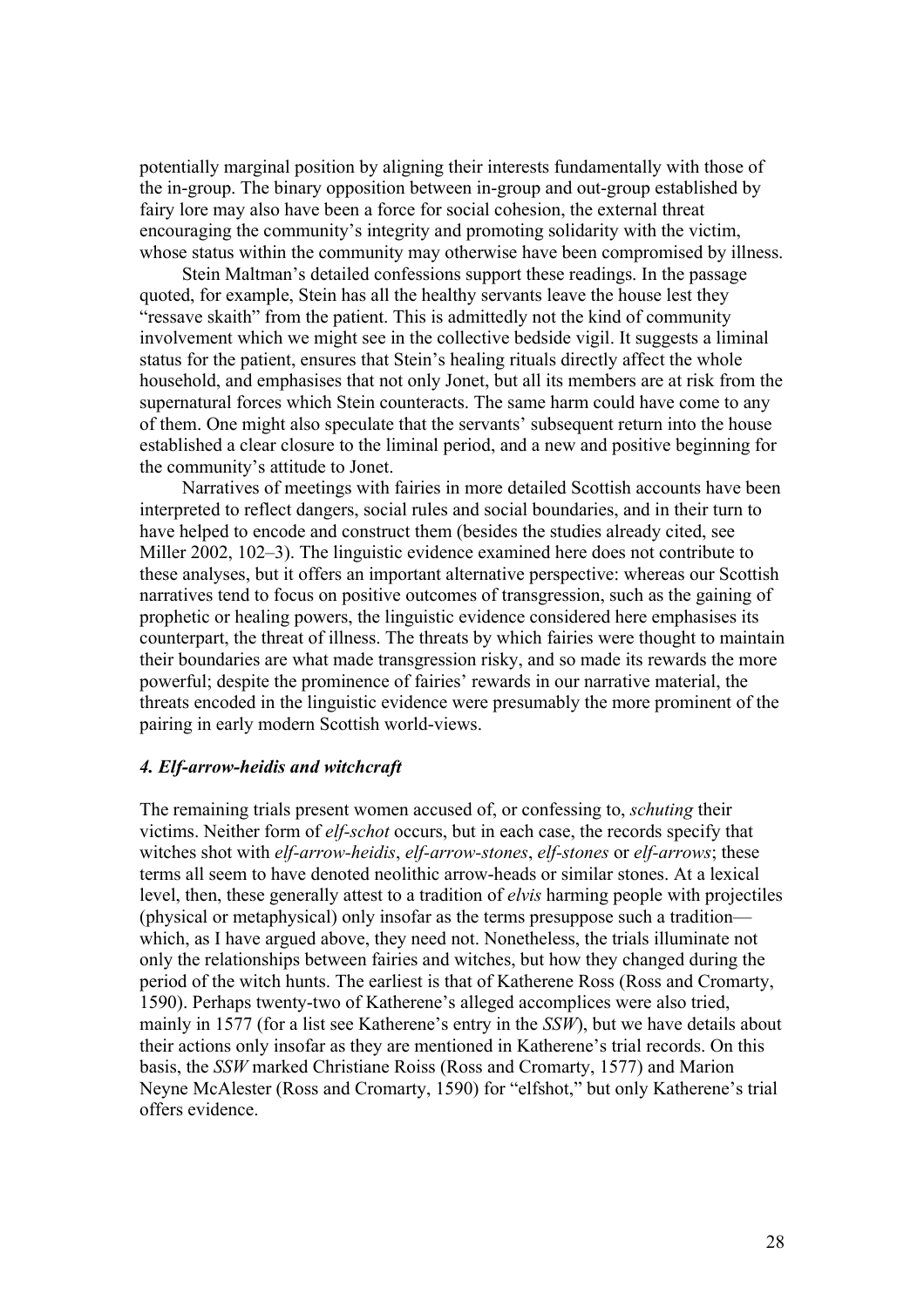potentially marginal position by aligning their interests fundamentally with those of the in-group. The binary opposition between in-group and out-group established by fairy lore may also have been a force for social cohesion, the external threat encouraging the community's integrity and promoting solidarity with the victim, whose status within the community may otherwise have been compromised by illness.

Stein Maltman's detailed confessions support these readings. In the passage quoted, for example, Stein has all the healthy servants leave the house lest they "ressave skaith" from the patient. This is admittedly not the kind of community involvement which we might see in the collective bedside vigil. It suggests a liminal status for the patient, ensures that Stein's healing rituals directly affect the whole household, and emphasises that not only Jonet, but all its members are at risk from the supernatural forces which Stein counteracts. The same harm could have come to any of them. One might also speculate that the servants' subsequent return into the house established a clear closure to the liminal period, and a new and positive beginning for the community's attitude to Jonet.

Narratives of meetings with fairies in more detailed Scottish accounts have been interpreted to reflect dangers, social rules and social boundaries, and in their turn to have helped to encode and construct them (besides the studies already cited, see Miller 2002, 102–3). The linguistic evidence examined here does not contribute to these analyses, but it offers an important alternative perspective: whereas our Scottish narratives tend to focus on positive outcomes of transgression, such as the gaining of prophetic or healing powers, the linguistic evidence considered here emphasises its counterpart, the threat of illness. The threats by which fairies were thought to maintain their boundaries are what made transgression risky, and so made its rewards the more powerful; despite the prominence of fairies' rewards in our narrative material, the threats encoded in the linguistic evidence were presumably the more prominent of the pairing in early modern Scottish world-views.

#### *4. Elf-arrow-heidis and witchcraft*

The remaining trials present women accused of, or confessing to, *schuting* their victims. Neither form of *elf-schot* occurs, but in each case, the records specify that witches shot with *elf-arrow-heidis*, *elf-arrow-stones*, *elf-stones* or *elf-arrows*; these terms all seem to have denoted neolithic arrow-heads or similar stones. At a lexical level, then, these generally attest to a tradition of *elvis* harming people with projectiles (physical or metaphysical) only insofar as the terms presuppose such a tradition which, as I have argued above, they need not. Nonetheless, the trials illuminate not only the relationships between fairies and witches, but how they changed during the period of the witch hunts. The earliest is that of Katherene Ross (Ross and Cromarty, 1590). Perhaps twenty-two of Katherene's alleged accomplices were also tried, mainly in 1577 (for a list see Katherene's entry in the *SSW*), but we have details about their actions only insofar as they are mentioned in Katherene's trial records. On this basis, the *SSW* marked Christiane Roiss (Ross and Cromarty, 1577) and Marion Neyne McAlester (Ross and Cromarty, 1590) for "elfshot," but only Katherene's trial offers evidence.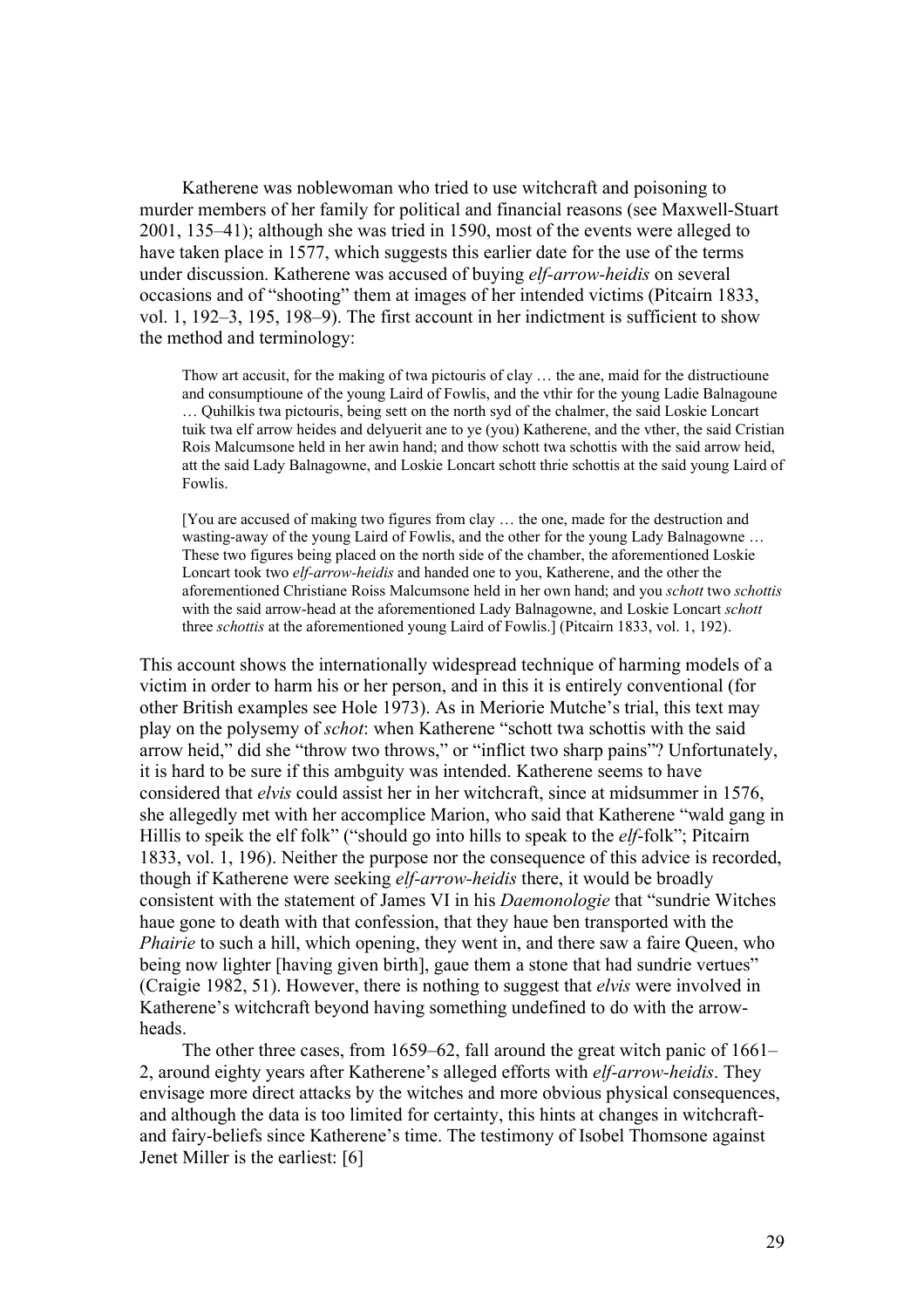Katherene was noblewoman who tried to use witchcraft and poisoning to murder members of her family for political and financial reasons (see Maxwell-Stuart 2001, 135–41); although she was tried in 1590, most of the events were alleged to have taken place in 1577, which suggests this earlier date for the use of the terms under discussion. Katherene was accused of buying *elf-arrow-heidis* on several occasions and of "shooting" them at images of her intended victims (Pitcairn 1833, vol. 1, 192–3, 195, 198–9). The first account in her indictment is sufficient to show the method and terminology:

Thow art accusit, for the making of twa pictouris of clay … the ane, maid for the distructioune and consumptioune of the young Laird of Fowlis, and the vthir for the young Ladie Balnagoune … Quhilkis twa pictouris, being sett on the north syd of the chalmer, the said Loskie Loncart tuik twa elf arrow heides and delyuerit ane to ye (you) Katherene, and the vther, the said Cristian Rois Malcumsone held in her awin hand; and thow schott twa schottis with the said arrow heid, att the said Lady Balnagowne, and Loskie Loncart schott thrie schottis at the said young Laird of Fowlis.

[You are accused of making two figures from clay … the one, made for the destruction and wasting-away of the young Laird of Fowlis, and the other for the young Lady Balnagowne … These two figures being placed on the north side of the chamber, the aforementioned Loskie Loncart took two *elf-arrow-heidis* and handed one to you, Katherene, and the other the aforementioned Christiane Roiss Malcumsone held in her own hand; and you *schott* two *schottis* with the said arrow-head at the aforementioned Lady Balnagowne, and Loskie Loncart *schott* three *schottis* at the aforementioned young Laird of Fowlis.] (Pitcairn 1833, vol. 1, 192).

This account shows the internationally widespread technique of harming models of a victim in order to harm his or her person, and in this it is entirely conventional (for other British examples see Hole 1973). As in Meriorie Mutche's trial, this text may play on the polysemy of *schot*: when Katherene "schott twa schottis with the said arrow heid," did she "throw two throws," or "inflict two sharp pains"? Unfortunately, it is hard to be sure if this ambguity was intended. Katherene seems to have considered that *elvis* could assist her in her witchcraft, since at midsummer in 1576, she allegedly met with her accomplice Marion, who said that Katherene "wald gang in Hillis to speik the elf folk" ("should go into hills to speak to the *elf*-folk"; Pitcairn 1833, vol. 1, 196). Neither the purpose nor the consequence of this advice is recorded, though if Katherene were seeking *elf-arrow-heidis* there, it would be broadly consistent with the statement of James VI in his *Daemonologie* that "sundrie Witches haue gone to death with that confession, that they haue ben transported with the *Phairie* to such a hill, which opening, they went in, and there saw a faire Queen, who being now lighter [having given birth], gaue them a stone that had sundrie vertues" (Craigie 1982, 51). However, there is nothing to suggest that *elvis* were involved in Katherene's witchcraft beyond having something undefined to do with the arrowheads.

The other three cases, from 1659–62, fall around the great witch panic of 1661– 2, around eighty years after Katherene's alleged efforts with *elf-arrow-heidis*. They envisage more direct attacks by the witches and more obvious physical consequences, and although the data is too limited for certainty, this hints at changes in witchcraftand fairy-beliefs since Katherene's time. The testimony of Isobel Thomsone against Jenet Miller is the earliest: [6]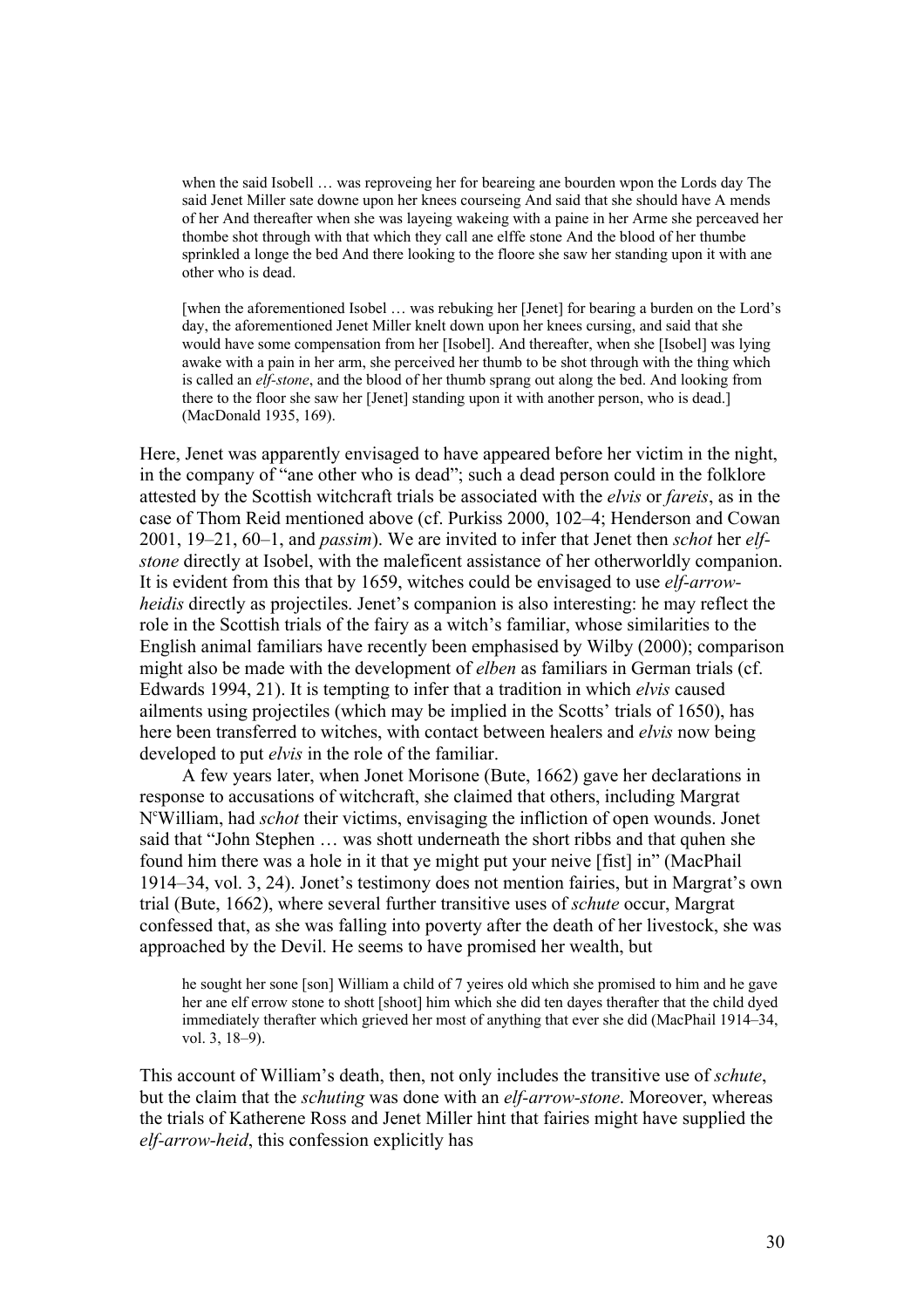when the said Isobell … was reproveing her for beareing ane bourden wpon the Lords day The said Jenet Miller sate downe upon her knees courseing And said that she should have A mends of her And thereafter when she was layeing wakeing with a paine in her Arme she perceaved her thombe shot through with that which they call ane elffe stone And the blood of her thumbe sprinkled a longe the bed And there looking to the floore she saw her standing upon it with ane other who is dead.

[when the aforementioned Isobel … was rebuking her [Jenet] for bearing a burden on the Lord's day, the aforementioned Jenet Miller knelt down upon her knees cursing, and said that she would have some compensation from her [Isobel]. And thereafter, when she [Isobel] was lying awake with a pain in her arm, she perceived her thumb to be shot through with the thing which is called an *elf-stone*, and the blood of her thumb sprang out along the bed. And looking from there to the floor she saw her [Jenet] standing upon it with another person, who is dead.] (MacDonald 1935, 169).

Here, Jenet was apparently envisaged to have appeared before her victim in the night, in the company of "ane other who is dead"; such a dead person could in the folklore attested by the Scottish witchcraft trials be associated with the *elvis* or *fareis*, as in the case of Thom Reid mentioned above (cf. Purkiss 2000, 102–4; Henderson and Cowan 2001, 19–21, 60–1, and *passim*). We are invited to infer that Jenet then *schot* her *elfstone* directly at Isobel, with the maleficent assistance of her otherworldly companion. It is evident from this that by 1659, witches could be envisaged to use *elf-arrowheidis* directly as projectiles. Jenet's companion is also interesting: he may reflect the role in the Scottish trials of the fairy as a witch's familiar, whose similarities to the English animal familiars have recently been emphasised by Wilby (2000); comparison might also be made with the development of *elben* as familiars in German trials (cf. Edwards 1994, 21). It is tempting to infer that a tradition in which *elvis* caused ailments using projectiles (which may be implied in the Scotts' trials of 1650), has here been transferred to witches, with contact between healers and *elvis* now being developed to put *elvis* in the role of the familiar.

A few years later, when Jonet Morisone (Bute, 1662) gave her declarations in response to accusations of witchcraft, she claimed that others, including Margrat N <sup>c</sup>William, had *schot* their victims, envisaging the infliction of open wounds. Jonet said that "John Stephen … was shott underneath the short ribbs and that quhen she found him there was a hole in it that ye might put your neive [fist] in" (MacPhail 1914–34, vol. 3, 24). Jonet's testimony does not mention fairies, but in Margrat's own trial (Bute, 1662), where several further transitive uses of *schute* occur, Margrat confessed that, as she was falling into poverty after the death of her livestock, she was approached by the Devil. He seems to have promised her wealth, but

he sought her sone [son] William a child of 7 yeires old which she promised to him and he gave her ane elf errow stone to shott [shoot] him which she did ten dayes therafter that the child dyed immediately therafter which grieved her most of anything that ever she did (MacPhail 1914–34, vol. 3, 18–9).

This account of William's death, then, not only includes the transitive use of *schute*, but the claim that the *schuting* was done with an *elf-arrow-stone*. Moreover, whereas the trials of Katherene Ross and Jenet Miller hint that fairies might have supplied the *elf-arrow-heid*, this confession explicitly has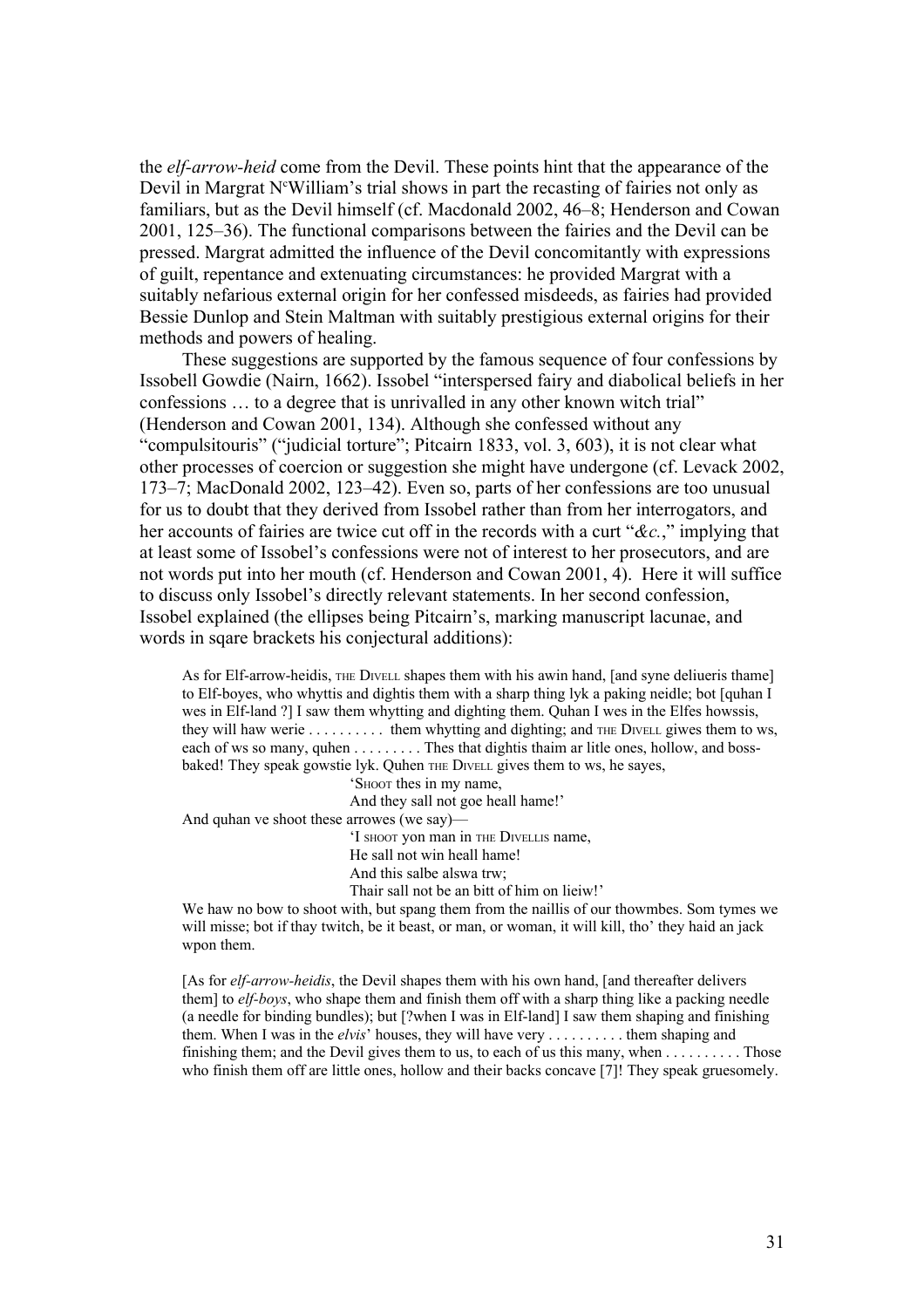the *elf-arrow-heid* come from the Devil. These points hint that the appearance of the Devil in Margrat  $N<sup>c</sup>$  William's trial shows in part the recasting of fairies not only as familiars, but as the Devil himself (cf. Macdonald 2002, 46–8; Henderson and Cowan 2001, 125–36). The functional comparisons between the fairies and the Devil can be pressed. Margrat admitted the influence of the Devil concomitantly with expressions of guilt, repentance and extenuating circumstances: he provided Margrat with a suitably nefarious external origin for her confessed misdeeds, as fairies had provided Bessie Dunlop and Stein Maltman with suitably prestigious external origins for their methods and powers of healing.

These suggestions are supported by the famous sequence of four confessions by Issobell Gowdie (Nairn, 1662). Issobel "interspersed fairy and diabolical beliefs in her confessions … to a degree that is unrivalled in any other known witch trial" (Henderson and Cowan 2001, 134). Although she confessed without any "compulsitouris" ("judicial torture"; Pitcairn 1833, vol. 3, 603), it is not clear what other processes of coercion or suggestion she might have undergone (cf. Levack 2002, 173–7; MacDonald 2002, 123–42). Even so, parts of her confessions are too unusual for us to doubt that they derived from Issobel rather than from her interrogators, and her accounts of fairies are twice cut off in the records with a curt "*&c.*," implying that at least some of Issobel's confessions were not of interest to her prosecutors, and are not words put into her mouth (cf. Henderson and Cowan 2001, 4). Here it will suffice to discuss only Issobel's directly relevant statements. In her second confession, Issobel explained (the ellipses being Pitcairn's, marking manuscript lacunae, and words in sqare brackets his conjectural additions):

As for Elf-arrow-heidis, THE DIVELL shapes them with his awin hand, [and syne deliueris thame] to Elf-boyes, who whyttis and dightis them with a sharp thing lyk a paking neidle; bot [quhan I wes in Elf-land ?] I saw them whytting and dighting them. Quhan I wes in the Elfes howssis, they will haw werie  $\dots$  . . . . . . . . them whytting and dighting; and THE DIVELL giwes them to ws, each of ws so many, quhen . . . . . . . . . . Thes that dightis thaim ar litle ones, hollow, and bossbaked! They speak gowstie lyk. Quhen THE DIVELL gives them to ws, he sayes,

'SHOOT thes in my name,

And they sall not goe heall hame!'

And quhan ve shoot these arrowes (we say)—

'I SHOOT yon man in THE DIVELLIS name,

He sall not win heall hame!

And this salbe alswa trw;

Thair sall not be an bitt of him on lieiw!'

We haw no bow to shoot with, but spang them from the naillis of our thowmbes. Som tymes we will misse; bot if thay twitch, be it beast, or man, or woman, it will kill, tho' they haid an jack wpon them.

[As for *elf-arrow-heidis*, the Devil shapes them with his own hand, [and thereafter delivers them] to *elf-boys*, who shape them and finish them off with a sharp thing like a packing needle (a needle for binding bundles); but [?when I was in Elf-land] I saw them shaping and finishing them. When I was in the *elvis*' houses, they will have very . . . . . . . . . . them shaping and finishing them; and the Devil gives them to us, to each of us this many, when . . . . . . . . . . Those who finish them off are little ones, hollow and their backs concave [7]! They speak gruesomely.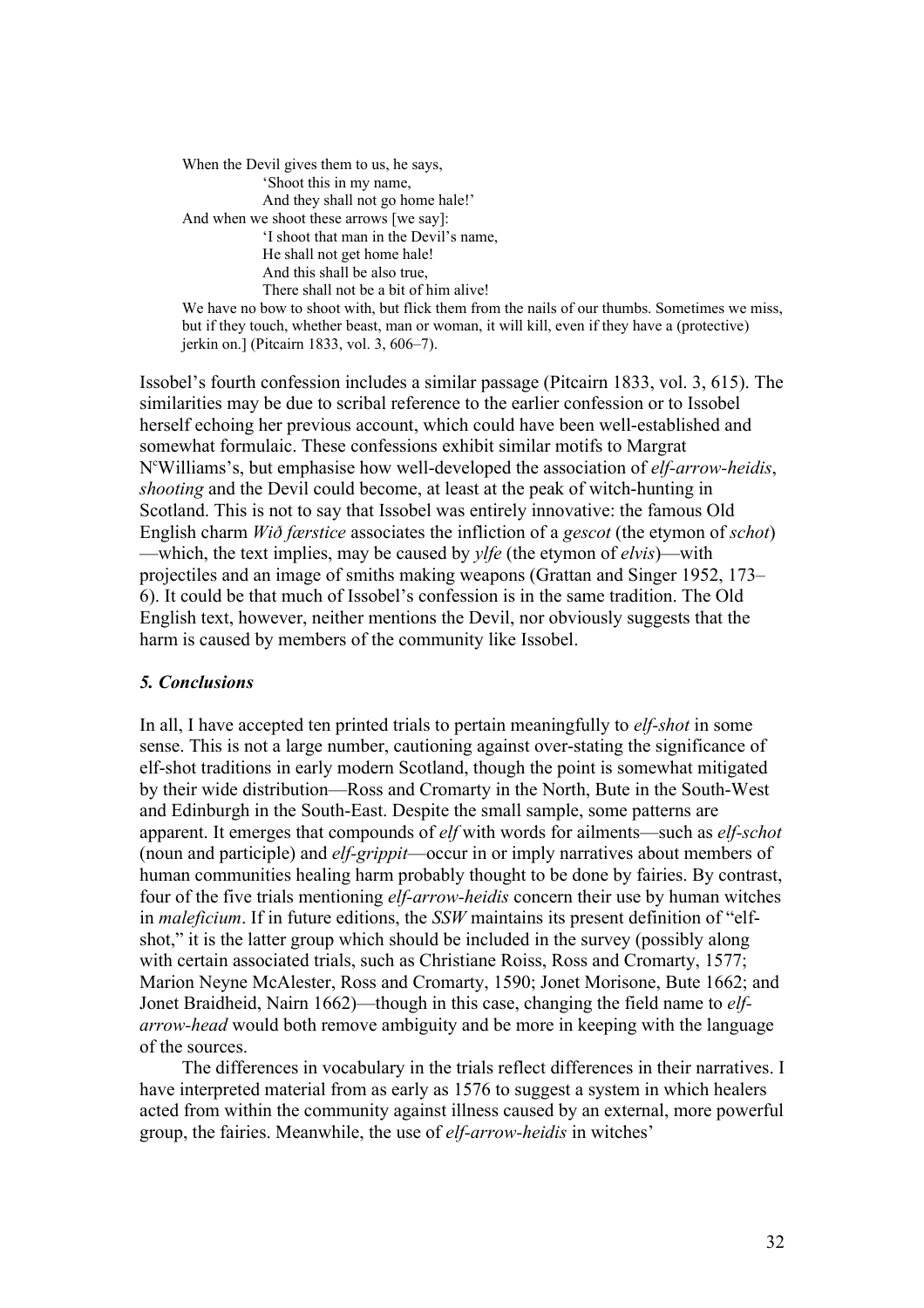When the Devil gives them to us, he says, 'Shoot this in my name, And they shall not go home hale!' And when we shoot these arrows [we say]: 'I shoot that man in the Devil's name, He shall not get home hale! And this shall be also true, There shall not be a bit of him alive! We have no bow to shoot with, but flick them from the nails of our thumbs. Sometimes we miss, but if they touch, whether beast, man or woman, it will kill, even if they have a (protective) jerkin on.] (Pitcairn 1833, vol. 3, 606–7).

Issobel's fourth confession includes a similar passage (Pitcairn 1833, vol. 3, 615). The similarities may be due to scribal reference to the earlier confession or to Issobel herself echoing her previous account, which could have been well-established and somewhat formulaic. These confessions exhibit similar motifs to Margrat N <sup>c</sup>Williams's, but emphasise how well-developed the association of *elf-arrow-heidis*, *shooting* and the Devil could become, at least at the peak of witch-hunting in Scotland. This is not to say that Issobel was entirely innovative: the famous Old English charm *Wið færstice* associates the infliction of a *gescot* (the etymon of *schot*) —which, the text implies, may be caused by *ylfe* (the etymon of *elvis*)—with projectiles and an image of smiths making weapons (Grattan and Singer 1952, 173– 6). It could be that much of Issobel's confession is in the same tradition. The Old English text, however, neither mentions the Devil, nor obviously suggests that the harm is caused by members of the community like Issobel.

# *5. Conclusions*

In all, I have accepted ten printed trials to pertain meaningfully to *elf-shot* in some sense. This is not a large number, cautioning against over-stating the significance of elf-shot traditions in early modern Scotland, though the point is somewhat mitigated by their wide distribution—Ross and Cromarty in the North, Bute in the South-West and Edinburgh in the South-East. Despite the small sample, some patterns are apparent. It emerges that compounds of *elf* with words for ailments—such as *elf-schot* (noun and participle) and *elf-grippit*—occur in or imply narratives about members of human communities healing harm probably thought to be done by fairies. By contrast, four of the five trials mentioning *elf-arrow-heidis* concern their use by human witches in *maleficium*. If in future editions, the *SSW* maintains its present definition of "elfshot," it is the latter group which should be included in the survey (possibly along with certain associated trials, such as Christiane Roiss, Ross and Cromarty, 1577; Marion Neyne McAlester, Ross and Cromarty, 1590; Jonet Morisone, Bute 1662; and Jonet Braidheid, Nairn 1662)—though in this case, changing the field name to *elfarrow-head* would both remove ambiguity and be more in keeping with the language of the sources.

The differences in vocabulary in the trials reflect differences in their narratives. I have interpreted material from as early as 1576 to suggest a system in which healers acted from within the community against illness caused by an external, more powerful group, the fairies. Meanwhile, the use of *elf-arrow-heidis* in witches'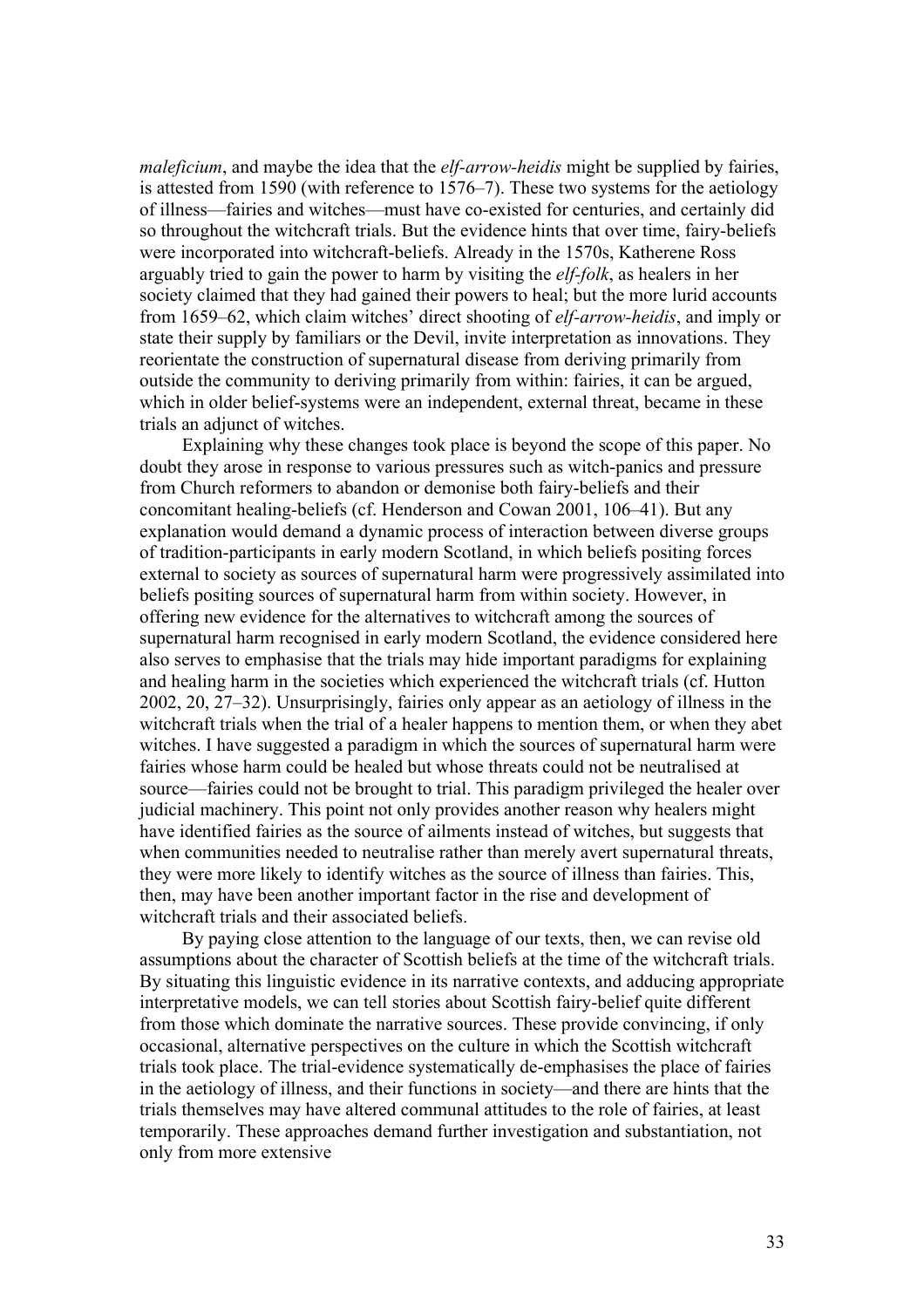*maleficium*, and maybe the idea that the *elf-arrow-heidis* might be supplied by fairies, is attested from 1590 (with reference to 1576–7). These two systems for the aetiology of illness—fairies and witches—must have co-existed for centuries, and certainly did so throughout the witchcraft trials. But the evidence hints that over time, fairy-beliefs were incorporated into witchcraft-beliefs. Already in the 1570s, Katherene Ross arguably tried to gain the power to harm by visiting the *elf-folk*, as healers in her society claimed that they had gained their powers to heal; but the more lurid accounts from 1659–62, which claim witches' direct shooting of *elf-arrow-heidis*, and imply or state their supply by familiars or the Devil, invite interpretation as innovations. They reorientate the construction of supernatural disease from deriving primarily from outside the community to deriving primarily from within: fairies, it can be argued, which in older belief-systems were an independent, external threat, became in these trials an adjunct of witches.

Explaining why these changes took place is beyond the scope of this paper. No doubt they arose in response to various pressures such as witch-panics and pressure from Church reformers to abandon or demonise both fairy-beliefs and their concomitant healing-beliefs (cf. Henderson and Cowan 2001, 106–41). But any explanation would demand a dynamic process of interaction between diverse groups of tradition-participants in early modern Scotland, in which beliefs positing forces external to society as sources of supernatural harm were progressively assimilated into beliefs positing sources of supernatural harm from within society. However, in offering new evidence for the alternatives to witchcraft among the sources of supernatural harm recognised in early modern Scotland, the evidence considered here also serves to emphasise that the trials may hide important paradigms for explaining and healing harm in the societies which experienced the witchcraft trials (cf. Hutton 2002, 20, 27–32). Unsurprisingly, fairies only appear as an aetiology of illness in the witchcraft trials when the trial of a healer happens to mention them, or when they abet witches. I have suggested a paradigm in which the sources of supernatural harm were fairies whose harm could be healed but whose threats could not be neutralised at source—fairies could not be brought to trial. This paradigm privileged the healer over judicial machinery. This point not only provides another reason why healers might have identified fairies as the source of ailments instead of witches, but suggests that when communities needed to neutralise rather than merely avert supernatural threats, they were more likely to identify witches as the source of illness than fairies. This, then, may have been another important factor in the rise and development of witchcraft trials and their associated beliefs.

By paying close attention to the language of our texts, then, we can revise old assumptions about the character of Scottish beliefs at the time of the witchcraft trials. By situating this linguistic evidence in its narrative contexts, and adducing appropriate interpretative models, we can tell stories about Scottish fairy-belief quite different from those which dominate the narrative sources. These provide convincing, if only occasional, alternative perspectives on the culture in which the Scottish witchcraft trials took place. The trial-evidence systematically de-emphasises the place of fairies in the aetiology of illness, and their functions in society—and there are hints that the trials themselves may have altered communal attitudes to the role of fairies, at least temporarily. These approaches demand further investigation and substantiation, not only from more extensive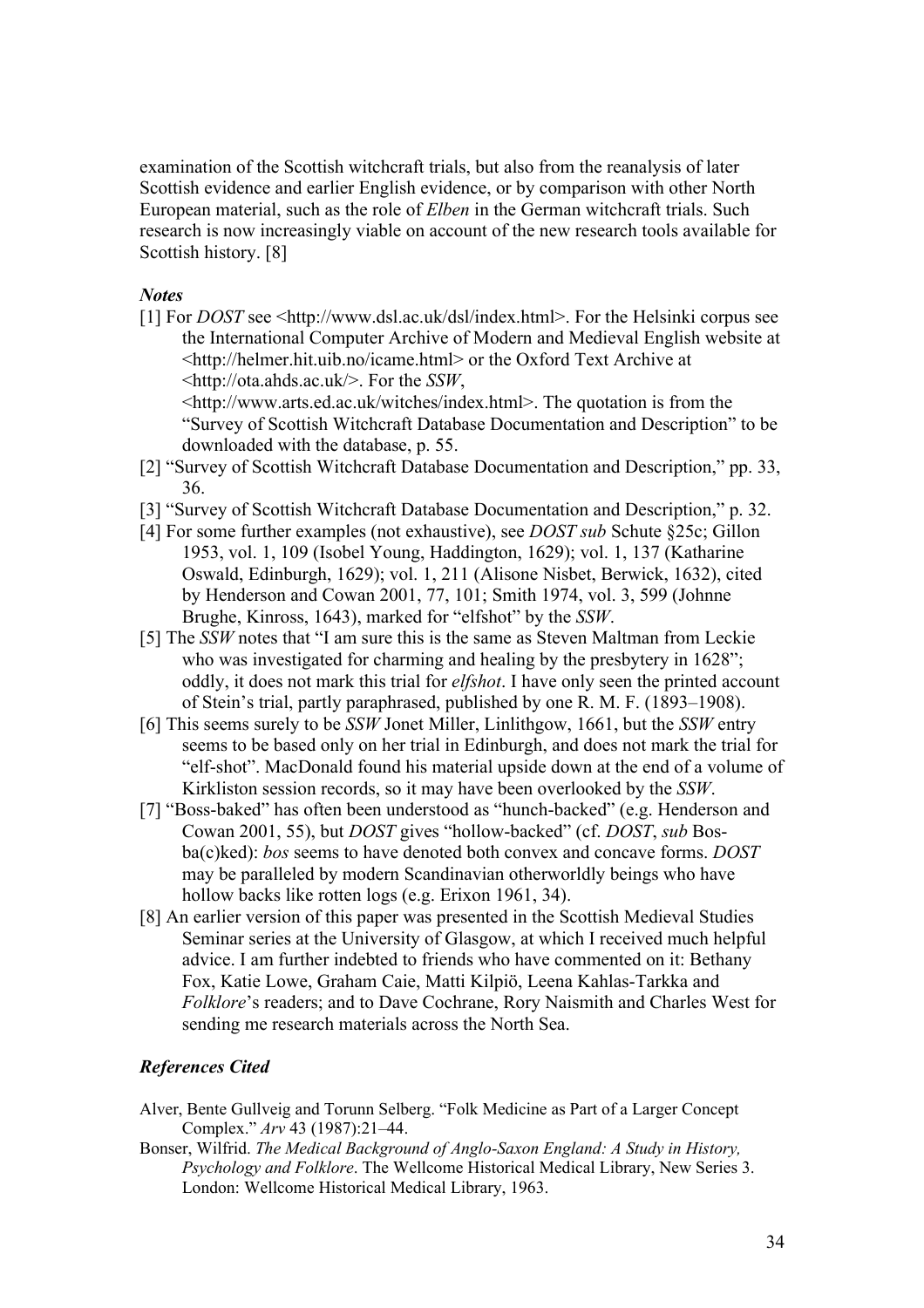examination of the Scottish witchcraft trials, but also from the reanalysis of later Scottish evidence and earlier English evidence, or by comparison with other North European material, such as the role of *Elben* in the German witchcraft trials. Such research is now increasingly viable on account of the new research tools available for Scottish history. [8]

# *Notes*

[1] For *DOST* see <http://www.dsl.ac.uk/dsl/index.html>. For the Helsinki corpus see the International Computer Archive of Modern and Medieval English website at <http://helmer.hit.uib.no/icame.html> or the Oxford Text Archive at <http://ota.ahds.ac.uk/>. For the *SSW*,

<http://www.arts.ed.ac.uk/witches/index.html>. The quotation is from the "Survey of Scottish Witchcraft Database Documentation and Description" to be downloaded with the database, p. 55.

- [2] "Survey of Scottish Witchcraft Database Documentation and Description," pp. 33, 36.
- [3] "Survey of Scottish Witchcraft Database Documentation and Description," p. 32.
- [4] For some further examples (not exhaustive), see *DOST sub* Schute §25c; Gillon 1953, vol. 1, 109 (Isobel Young, Haddington, 1629); vol. 1, 137 (Katharine Oswald, Edinburgh, 1629); vol. 1, 211 (Alisone Nisbet, Berwick, 1632), cited by Henderson and Cowan 2001, 77, 101; Smith 1974, vol. 3, 599 (Johnne Brughe, Kinross, 1643), marked for "elfshot" by the *SSW*.
- [5] The *SSW* notes that "I am sure this is the same as Steven Maltman from Leckie who was investigated for charming and healing by the presbytery in 1628"; oddly, it does not mark this trial for *elfshot*. I have only seen the printed account of Stein's trial, partly paraphrased, published by one R. M. F. (1893–1908).
- [6] This seems surely to be *SSW* Jonet Miller, Linlithgow, 1661, but the *SSW* entry seems to be based only on her trial in Edinburgh, and does not mark the trial for "elf-shot". MacDonald found his material upside down at the end of a volume of Kirkliston session records, so it may have been overlooked by the *SSW*.
- [7] "Boss-baked" has often been understood as "hunch-backed" (e.g. Henderson and Cowan 2001, 55), but *DOST* gives "hollow-backed" (cf. *DOST*, *sub* Bosba(c)ked): *bos* seems to have denoted both convex and concave forms. *DOST* may be paralleled by modern Scandinavian otherworldly beings who have hollow backs like rotten logs (e.g. Erixon 1961, 34).
- [8] An earlier version of this paper was presented in the Scottish Medieval Studies Seminar series at the University of Glasgow, at which I received much helpful advice. I am further indebted to friends who have commented on it: Bethany Fox, Katie Lowe, Graham Caie, Matti Kilpiö, Leena Kahlas-Tarkka and *Folklore*'s readers; and to Dave Cochrane, Rory Naismith and Charles West for sending me research materials across the North Sea.

# *References Cited*

- Alver, Bente Gullveig and Torunn Selberg. "Folk Medicine as Part of a Larger Concept Complex." *Arv* 43 (1987):21–44.
- Bonser, Wilfrid. *The Medical Background of Anglo-Saxon England: A Study in History, Psychology and Folklore*. The Wellcome Historical Medical Library, New Series 3. London: Wellcome Historical Medical Library, 1963.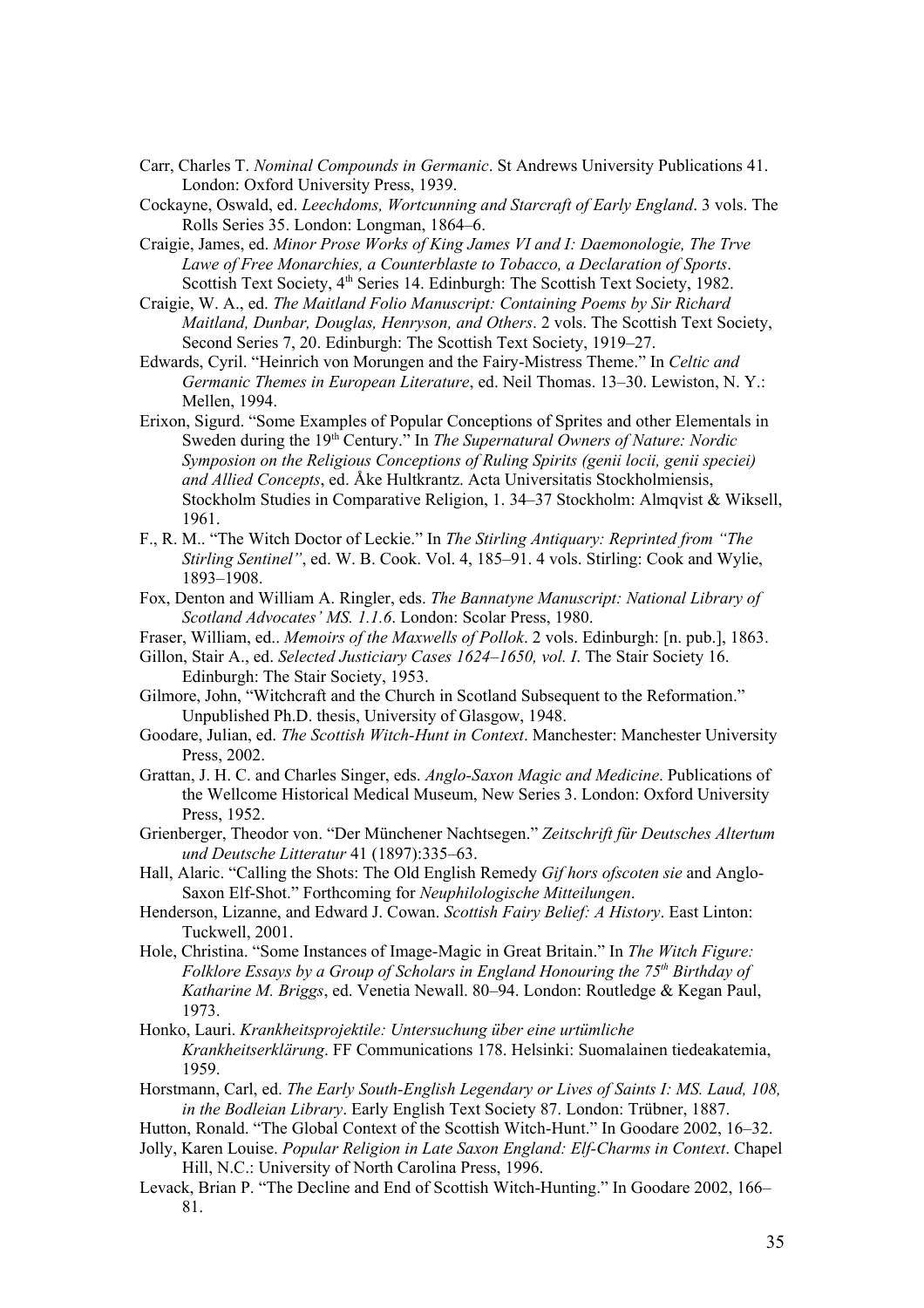- Carr, Charles T. *Nominal Compounds in Germanic*. St Andrews University Publications 41. London: Oxford University Press, 1939.
- Cockayne, Oswald, ed. *Leechdoms, Wortcunning and Starcraft of Early England*. 3 vols. The Rolls Series 35. London: Longman, 1864–6.
- Craigie, James, ed. *Minor Prose Works of King James VI and I: Daemonologie, The Trve Lawe of Free Monarchies, a Counterblaste to Tobacco, a Declaration of Sports*. Scottish Text Society, 4<sup>th</sup> Series 14. Edinburgh: The Scottish Text Society, 1982.
- Craigie, W. A., ed. *The Maitland Folio Manuscript: Containing Poems by Sir Richard Maitland, Dunbar, Douglas, Henryson, and Others*. 2 vols. The Scottish Text Society, Second Series 7, 20. Edinburgh: The Scottish Text Society, 1919–27.
- Edwards, Cyril. "Heinrich von Morungen and the Fairy-Mistress Theme." In *Celtic and Germanic Themes in European Literature*, ed. Neil Thomas. 13–30. Lewiston, N. Y.: Mellen, 1994.
- Erixon, Sigurd. "Some Examples of Popular Conceptions of Sprites and other Elementals in Sweden during the 19<sup>th</sup> Century." In *The Supernatural Owners of Nature: Nordic Symposion on the Religious Conceptions of Ruling Spirits (genii locii, genii speciei) and Allied Concepts*, ed. Åke Hultkrantz. Acta Universitatis Stockholmiensis, Stockholm Studies in Comparative Religion, 1. 34–37 Stockholm: Almqvist & Wiksell, 1961.
- F., R. M.. "The Witch Doctor of Leckie." In *The Stirling Antiquary: Reprinted from "The Stirling Sentinel"*, ed. W. B. Cook. Vol. 4, 185–91. 4 vols. Stirling: Cook and Wylie, 1893–1908.
- Fox, Denton and William A. Ringler, eds. *The Bannatyne Manuscript: National Library of Scotland Advocates' MS. 1.1.6*. London: Scolar Press, 1980.
- Fraser, William, ed.. *Memoirs of the Maxwells of Pollok*. 2 vols. Edinburgh: [n. pub.], 1863.
- Gillon, Stair A., ed. *Selected Justiciary Cases 1624–1650, vol. I*. The Stair Society 16. Edinburgh: The Stair Society, 1953.
- Gilmore, John, "Witchcraft and the Church in Scotland Subsequent to the Reformation." Unpublished Ph.D. thesis, University of Glasgow, 1948.
- Goodare, Julian, ed. *The Scottish Witch-Hunt in Context*. Manchester: Manchester University Press, 2002.
- Grattan, J. H. C. and Charles Singer, eds. *Anglo-Saxon Magic and Medicine*. Publications of the Wellcome Historical Medical Museum, New Series 3. London: Oxford University Press, 1952.
- Grienberger, Theodor von. "Der Münchener Nachtsegen." *Zeitschrift für Deutsches Altertum und Deutsche Litteratur* 41 (1897):335–63.
- Hall, Alaric. "Calling the Shots: The Old English Remedy *Gif hors ofscoten sie* and Anglo-Saxon Elf-Shot." Forthcoming for *Neuphilologische Mitteilungen*.
- Henderson, Lizanne, and Edward J. Cowan. *Scottish Fairy Belief: A History*. East Linton: Tuckwell, 2001.
- Hole, Christina. "Some Instances of Image-Magic in Great Britain." In *The Witch Figure:* Folklore Essays by a Group of Scholars in England Honouring the 75<sup>th</sup> Birthday of *Katharine M. Briggs*, ed. Venetia Newall. 80–94. London: Routledge & Kegan Paul, 1973.
- Honko, Lauri. *Krankheitsprojektile: Untersuchung über eine urtümliche Krankheitserklärung*. FF Communications 178. Helsinki: Suomalainen tiedeakatemia, 1959.
- Horstmann, Carl, ed. *The Early South-English Legendary or Lives of Saints I: MS. Laud, 108, in the Bodleian Library*. Early English Text Society 87. London: Trübner, 1887.
- Hutton, Ronald. "The Global Context of the Scottish Witch-Hunt." In Goodare 2002, 16–32.
- Jolly, Karen Louise. *Popular Religion in Late Saxon England: Elf-Charms in Context*. Chapel Hill, N.C.: University of North Carolina Press, 1996.
- Levack, Brian P. "The Decline and End of Scottish Witch-Hunting." In Goodare 2002, 166– 81.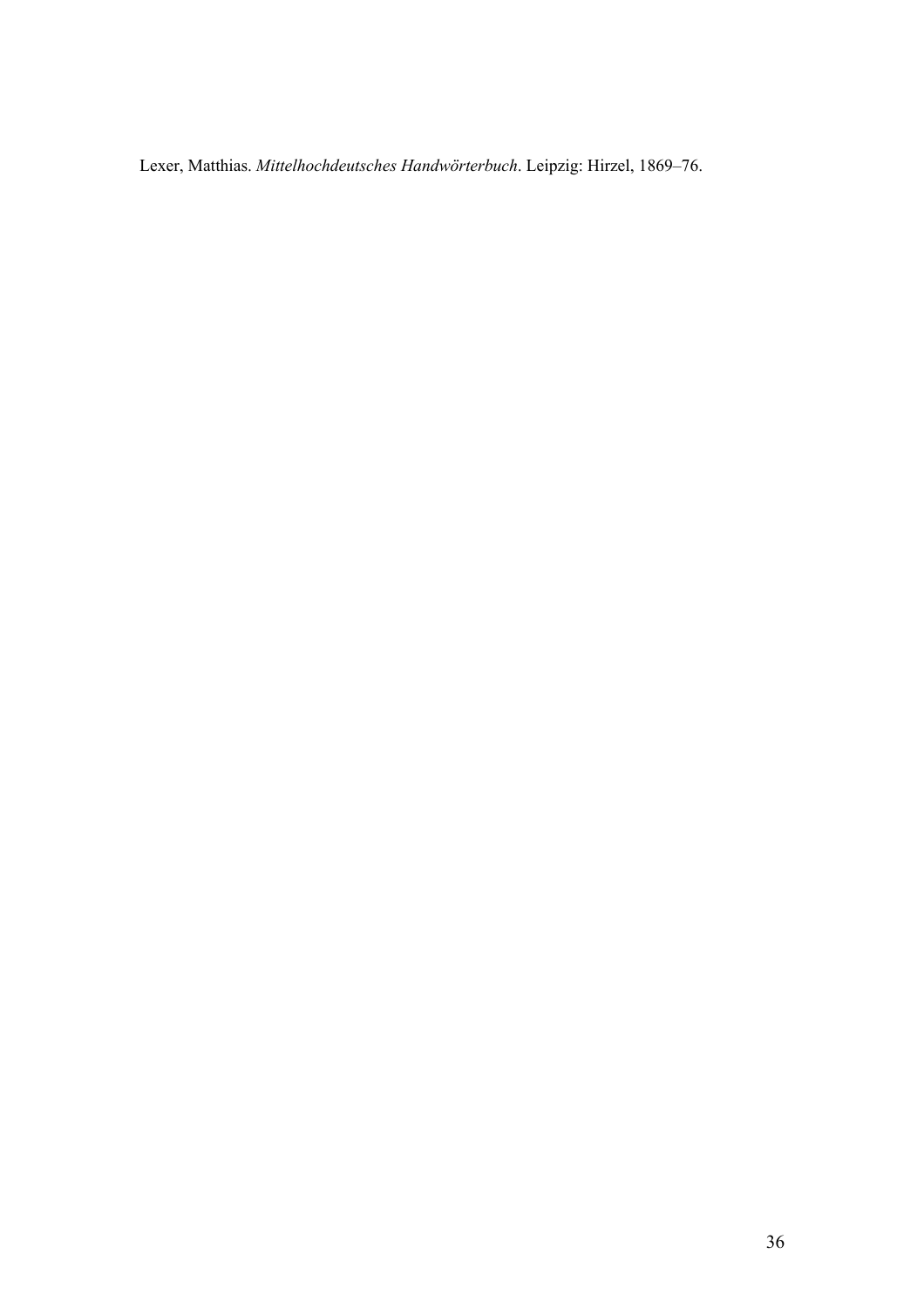Lexer, Matthias. *Mittelhochdeutsches Handwörterbuch*. Leipzig: Hirzel, 1869–76.